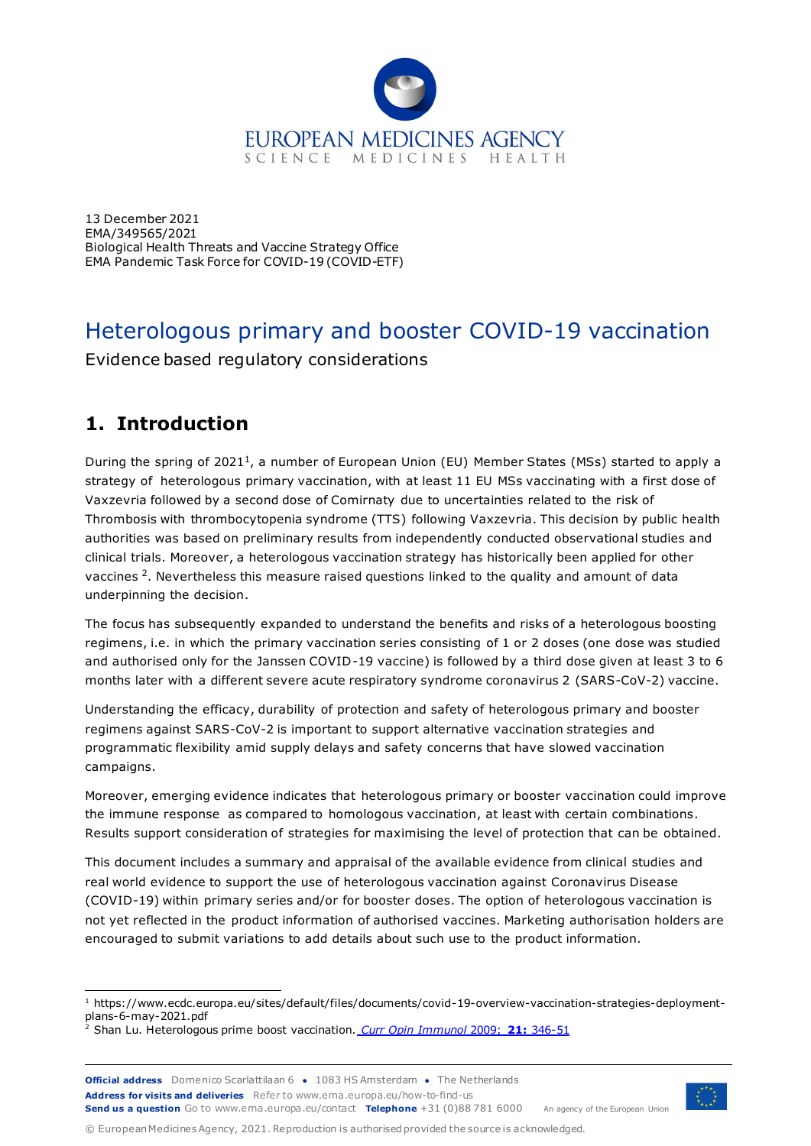

13 December 2021 EMA/349565/2021 Biological Health Threats and Vaccine Strategy Office EMA Pandemic Task Force for COVID-19 (COVID-ETF)

# Heterologous primary and booster COVID-19 vaccination

Evidence based regulatory considerations

# **1. Introduction**

During the spring of 2021<sup>1</sup>, a number of European Union (EU) Member States (MSs) started to apply a strategy of heterologous primary vaccination, with at least 11 EU MSs vaccinating with a first dose of Vaxzevria followed by a second dose of Comirnaty due to uncertainties related to the risk of Thrombosis with thrombocytopenia syndrome (TTS) following Vaxzevria. This decision by public health authorities was based on preliminary results from independently conducted observational studies and clinical trials. Moreover, a heterologous vaccination strategy has historically been applied for other vaccines <sup>2</sup>. Nevertheless this measure raised questions linked to the quality and amount of data underpinning the decision.

The focus has subsequently expanded to understand the benefits and risks of a heterologous boosting regimens, i.e. in which the primary vaccination series consisting of 1 or 2 doses (one dose was studied and authorised only for the Janssen COVID-19 vaccine) is followed by a third dose given at least 3 to 6 months later with a different severe acute respiratory syndrome coronavirus 2 (SARS-CoV-2) vaccine.

Understanding the efficacy, durability of protection and safety of heterologous primary and booster regimens against SARS-CoV-2 is important to support alternative vaccination strategies and programmatic flexibility amid supply delays and safety concerns that have slowed vaccination campaigns.

Moreover, emerging evidence indicates that heterologous primary or booster vaccination could improve the immune response as compared to homologous vaccination, at least with certain combinations. Results support consideration of strategies for maximising the level of protection that can be obtained.

This document includes a summary and appraisal of the available evidence from clinical studies and real world evidence to support the use of heterologous vaccination against Coronavirus Disease (COVID-19) within primary series and/or for booster doses. The option of heterologous vaccination is not yet reflected in the product information of authorised vaccines. Marketing authorisation holders are encouraged to submit variations to add details about such use to the product information.



© European Medicines Agency, 2021. Reproduction is authorised provided the source is acknowledged.

<sup>1</sup> https://www.ecdc.europa.eu/sites/default/files/documents/covid-19-overview-vaccination-strategies-deploymentplans-6-may-2021.pdf

<sup>&</sup>lt;sup>2</sup> Shan Lu. Heterologous prime boost vaccination. *[Curr Opin Immunol](https://www.ncbi.nlm.nih.gov/pmc/articles/PMC3743086/pdf/nihms128435.pdf)* 2009; 21: 346-51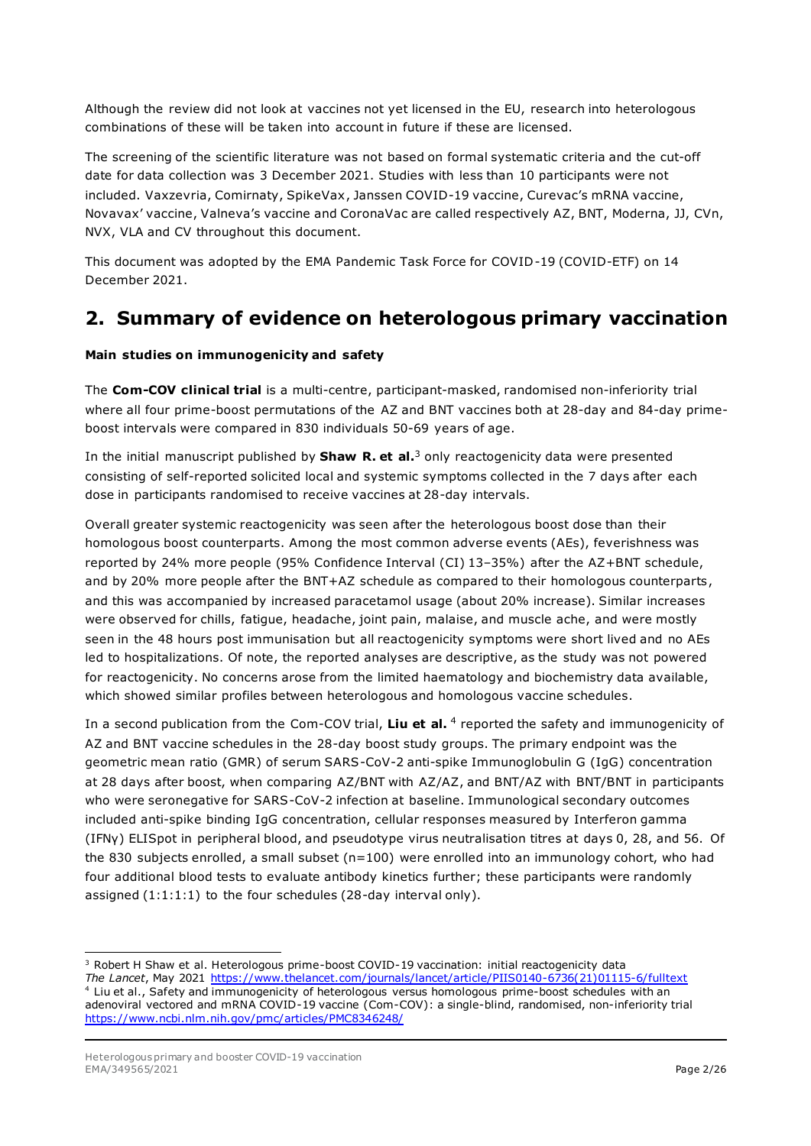Although the review did not look at vaccines not yet licensed in the EU, research into heterologous combinations of these will be taken into account in future if these are licensed.

The screening of the scientific literature was not based on formal systematic criteria and the cut-off date for data collection was 3 December 2021. Studies with less than 10 participants were not included. Vaxzevria, Comirnaty, SpikeVax, Janssen COVID-19 vaccine, Curevac's mRNA vaccine, Novavax' vaccine, Valneva's vaccine and CoronaVac are called respectively AZ, BNT, Moderna, JJ, CVn, NVX, VLA and CV throughout this document.

This document was adopted by the EMA Pandemic Task Force for COVID-19 (COVID-ETF) on 14 December 2021.

## **2. Summary of evidence on heterologous primary vaccination**

#### **Main studies on immunogenicity and safety**

The **Com-COV clinical trial** is a multi-centre, participant-masked, randomised non-inferiority trial where all four prime-boost permutations of the AZ and BNT vaccines both at 28-day and 84-day primeboost intervals were compared in 830 individuals 50-69 years of age.

In the initial manuscript published by **Shaw R. et al.**<sup>3</sup> only reactogenicity data were presented consisting of self-reported solicited local and systemic symptoms collected in the 7 days after each dose in participants randomised to receive vaccines at 28-day intervals.

Overall greater systemic reactogenicity was seen after the heterologous boost dose than their homologous boost counterparts. Among the most common adverse events (AEs), feverishness was reported by 24% more people (95% Confidence Interval (CI) 13–35%) after the AZ+BNT schedule, and by 20% more people after the BNT+AZ schedule as compared to their homologous counterparts, and this was accompanied by increased paracetamol usage (about 20% increase). Similar increases were observed for chills, fatigue, headache, joint pain, malaise, and muscle ache, and were mostly seen in the 48 hours post immunisation but all reactogenicity symptoms were short lived and no AEs led to hospitalizations. Of note, the reported analyses are descriptive, as the study was not powered for reactogenicity. No concerns arose from the limited haematology and biochemistry data available, which showed similar profiles between heterologous and homologous vaccine schedules.

In a second publication from the Com-COV trial, Liu et al. <sup>4</sup> reported the safety and immunogenicity of AZ and BNT vaccine schedules in the 28-day boost study groups. The primary endpoint was the geometric mean ratio (GMR) of serum SARS-CoV-2 anti-spike Immunoglobulin G (IgG) concentration at 28 days after boost, when comparing AZ/BNT with AZ/AZ, and BNT/AZ with BNT/BNT in participants who were seronegative for SARS-CoV-2 infection at baseline. Immunological secondary outcomes included anti-spike binding IgG concentration, cellular responses measured by Interferon gamma (IFNγ) ELISpot in peripheral blood, and pseudotype virus neutralisation titres at days 0, 28, and 56. Of the 830 subjects enrolled, a small subset (n=100) were enrolled into an immunology cohort, who had four additional blood tests to evaluate antibody kinetics further; these participants were randomly assigned (1:1:1:1) to the four schedules (28-day interval only).

<sup>&</sup>lt;sup>3</sup> Robert H Shaw et al. Heterologous prime-boost COVID-19 vaccination: initial reactogenicity data *The Lancet*, May 2021 [https://www.thelancet.com/journals/lancet/article/PIIS0140-6736\(21\)01115-6/fulltext](https://www.thelancet.com/journals/lancet/article/PIIS0140-6736(21)01115-6/fulltext) <sup>4</sup> Liu et al., Safety and immunogenicity of heterologous versus homologous prime-boost schedules with an adenoviral vectored and mRNA COVID-19 vaccine (Com-COV): a single-blind, randomised, non-inferiority trial <https://www.ncbi.nlm.nih.gov/pmc/articles/PMC8346248/>

Heterologous primary and booster COVID-19 vaccination EMA/349565/2021 **Page 2/26**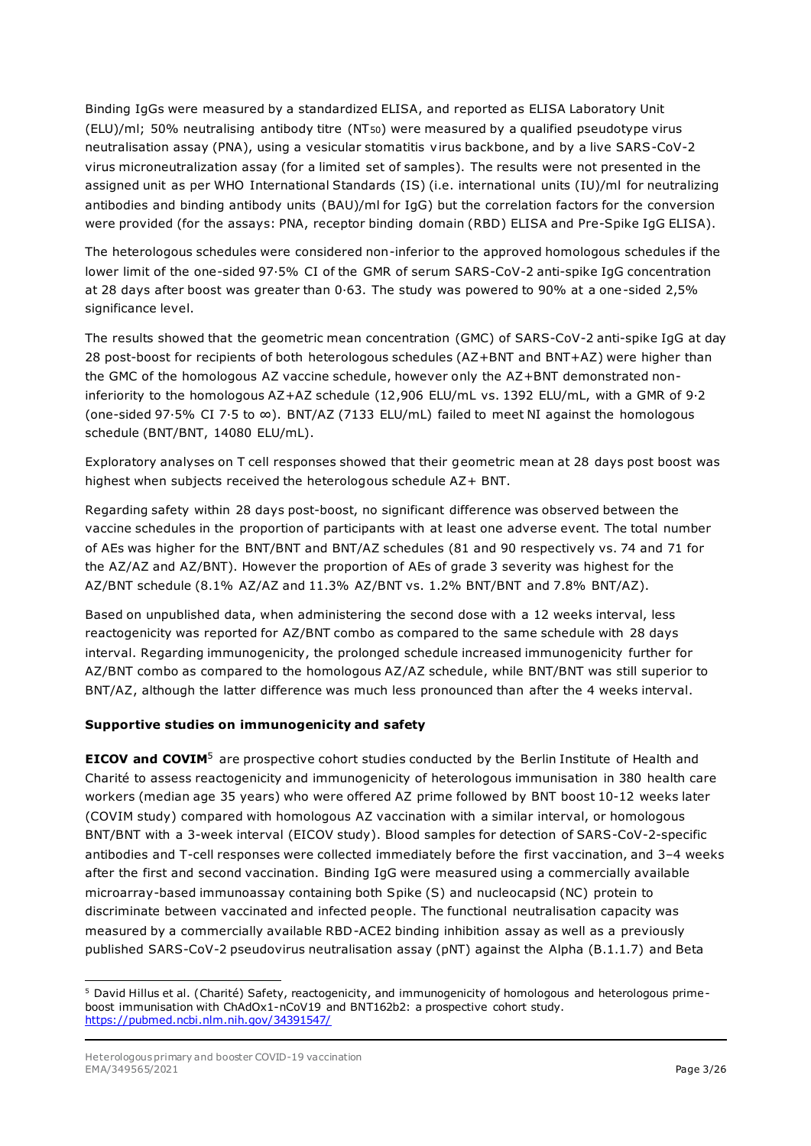Binding IgGs were measured by a standardized ELISA, and reported as ELISA Laboratory Unit (ELU)/ml; 50% neutralising antibody titre (NT50) were measured by a qualified pseudotype virus neutralisation assay (PNA), using a vesicular stomatitis virus backbone, and by a live SARS-CoV-2 virus microneutralization assay (for a limited set of samples). The results were not presented in the assigned unit as per WHO International Standards (IS) (i.e. international units (IU)/ml for neutralizing antibodies and binding antibody units (BAU)/ml for IgG) but the correlation factors for the conversion were provided (for the assays: PNA, receptor binding domain (RBD) ELISA and Pre-Spike IgG ELISA).

The heterologous schedules were considered non-inferior to the approved homologous schedules if the lower limit of the one-sided 97·5% CI of the GMR of serum SARS-CoV-2 anti-spike IgG concentration at 28 days after boost was greater than 0·63. The study was powered to 90% at a one-sided 2,5% significance level.

The results showed that the geometric mean concentration (GMC) of SARS-CoV-2 anti-spike IgG at day 28 post-boost for recipients of both heterologous schedules (AZ+BNT and BNT+AZ) were higher than the GMC of the homologous AZ vaccine schedule, however only the AZ+BNT demonstrated noninferiority to the homologous AZ+AZ schedule (12,906 ELU/mL vs. 1392 ELU/mL, with a GMR of 9·2 (one-sided 97·5% CI 7·5 to ∞). BNT/AZ (7133 ELU/mL) failed to meet NI against the homologous schedule (BNT/BNT, 14080 ELU/mL).

Exploratory analyses on T cell responses showed that their geometric mean at 28 days post boost was highest when subjects received the heterologous schedule AZ+ BNT.

Regarding safety within 28 days post-boost, no significant difference was observed between the vaccine schedules in the proportion of participants with at least one adverse event. The total number of AEs was higher for the BNT/BNT and BNT/AZ schedules (81 and 90 respectively vs. 74 and 71 for the AZ/AZ and AZ/BNT). However the proportion of AEs of grade 3 severity was highest for the AZ/BNT schedule (8.1% AZ/AZ and 11.3% AZ/BNT vs. 1.2% BNT/BNT and 7.8% BNT/AZ).

Based on unpublished data, when administering the second dose with a 12 weeks interval, less reactogenicity was reported for AZ/BNT combo as compared to the same schedule with 28 days interval. Regarding immunogenicity, the prolonged schedule increased immunogenicity further for AZ/BNT combo as compared to the homologous AZ/AZ schedule, while BNT/BNT was still superior to BNT/AZ, although the latter difference was much less pronounced than after the 4 weeks interval.

#### **Supportive studies on immunogenicity and safety**

**EICOV and COVIM<sup>5</sup>** are prospective cohort studies conducted by the Berlin Institute of Health and Charité to assess reactogenicity and immunogenicity of heterologous immunisation in 380 health care workers (median age 35 years) who were offered AZ prime followed by BNT boost 10-12 weeks later (COVIM study) compared with homologous AZ vaccination with a similar interval, or homologous BNT/BNT with a 3-week interval (EICOV study). Blood samples for detection of SARS-CoV-2-specific antibodies and T-cell responses were collected immediately before the first vaccination, and 3–4 weeks after the first and second vaccination. Binding IgG were measured using a commercially available microarray-based immunoassay containing both Spike (S) and nucleocapsid (NC) protein to discriminate between vaccinated and infected people. The functional neutralisation capacity was measured by a commercially available RBD-ACE2 binding inhibition assay as well as a previously published SARS-CoV-2 pseudovirus neutralisation assay (pNT) against the Alpha (B.1.1.7) and Beta

<sup>5</sup> David Hillus et al. (Charité) Safety, reactogenicity, and immunogenicity of homologous and heterologous primeboost immunisation with ChAdOx1-nCoV19 and BNT162b2: a prospective cohort study. <https://pubmed.ncbi.nlm.nih.gov/34391547/>

Heterologous primary and booster COVID-19 vaccination EMA/349565/2021 **Page 3/26**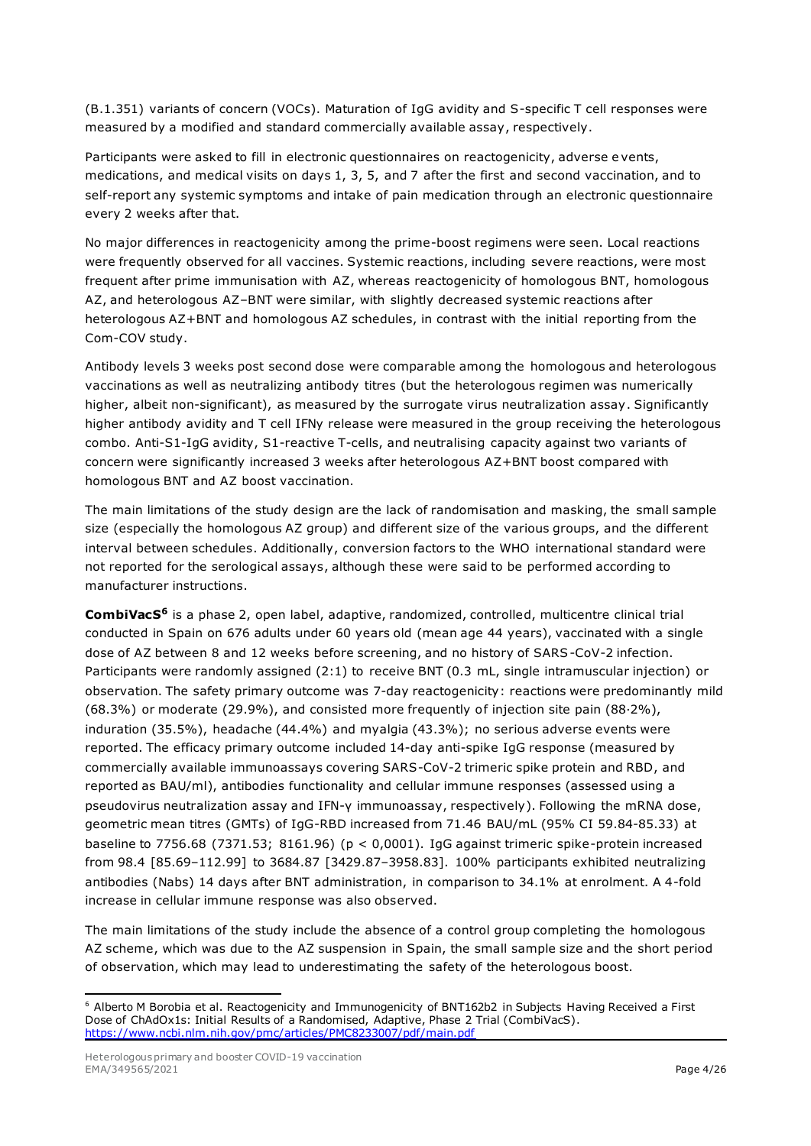(B.1.351) variants of concern (VOCs). Maturation of IgG avidity and S-specific T cell responses were measured by a modified and standard commercially available assay, respectively.

Participants were asked to fill in electronic questionnaires on reactogenicity, adverse e vents, medications, and medical visits on days 1, 3, 5, and 7 after the first and second vaccination, and to self-report any systemic symptoms and intake of pain medication through an electronic questionnaire every 2 weeks after that.

No major differences in reactogenicity among the prime-boost regimens were seen. Local reactions were frequently observed for all vaccines. Systemic reactions, including severe reactions, were most frequent after prime immunisation with AZ, whereas reactogenicity of homologous BNT, homologous AZ, and heterologous AZ–BNT were similar, with slightly decreased systemic reactions after heterologous AZ+BNT and homologous AZ schedules, in contrast with the initial reporting from the Com-COV study.

Antibody levels 3 weeks post second dose were comparable among the homologous and heterologous vaccinations as well as neutralizing antibody titres (but the heterologous regimen was numerically higher, albeit non-significant), as measured by the surrogate virus neutralization assay. Significantly higher antibody avidity and T cell IFNy release were measured in the group receiving the heterologous combo. Anti-S1-IgG avidity, S1-reactive T-cells, and neutralising capacity against two variants of concern were significantly increased 3 weeks after heterologous AZ+BNT boost compared with homologous BNT and AZ boost vaccination.

The main limitations of the study design are the lack of randomisation and masking, the small sample size (especially the homologous AZ group) and different size of the various groups, and the different interval between schedules. Additionally, conversion factors to the WHO international standard were not reported for the serological assays, although these were said to be performed according to manufacturer instructions.

**CombiVacS<sup>6</sup>** is a phase 2, open label, adaptive, randomized, controlled, multicentre clinical trial conducted in Spain on 676 adults under 60 years old (mean age 44 years), vaccinated with a single dose of AZ between 8 and 12 weeks before screening, and no history of SARS-CoV-2 infection. Participants were randomly assigned (2:1) to receive BNT (0.3 mL, single intramuscular injection) or observation. The safety primary outcome was 7-day reactogenicity: reactions were predominantly mild (68.3%) or moderate (29.9%), and consisted more frequently of injection site pain (88·2%), induration (35.5%), headache (44.4%) and myalgia (43.3%); no serious adverse events were reported. The efficacy primary outcome included 14-day anti-spike IgG response (measured by commercially available immunoassays covering SARS-CoV-2 trimeric spike protein and RBD, and reported as BAU/ml), antibodies functionality and cellular immune responses (assessed using a pseudovirus neutralization assay and IFN-γ immunoassay, respectively). Following the mRNA dose, geometric mean titres (GMTs) of IgG-RBD increased from 71.46 BAU/mL (95% CI 59.84-85.33) at baseline to 7756.68 (7371.53; 8161.96) (p < 0,0001). IgG against trimeric spike-protein increased from 98.4 [85.69–112.99] to 3684.87 [3429.87–3958.83]. 100% participants exhibited neutralizing antibodies (Nabs) 14 days after BNT administration, in comparison to 34.1% at enrolment. A 4-fold increase in cellular immune response was also observed.

The main limitations of the study include the absence of a control group completing the homologous AZ scheme, which was due to the AZ suspension in Spain, the small sample size and the short period of observation, which may lead to underestimating the safety of the heterologous boost.

<sup>6</sup> Alberto M Borobia et al. Reactogenicity and Immunogenicity of BNT162b2 in Subjects Having Received a First Dose of ChAdOx1s: Initial Results of a Randomised, Adaptive, Phase 2 Trial (CombiVacS). <https://www.ncbi.nlm.nih.gov/pmc/articles/PMC8233007/pdf/main.pdf>

Heterologous primary and booster COVID-19 vaccination EMA/349565/2021 **Page 4/26**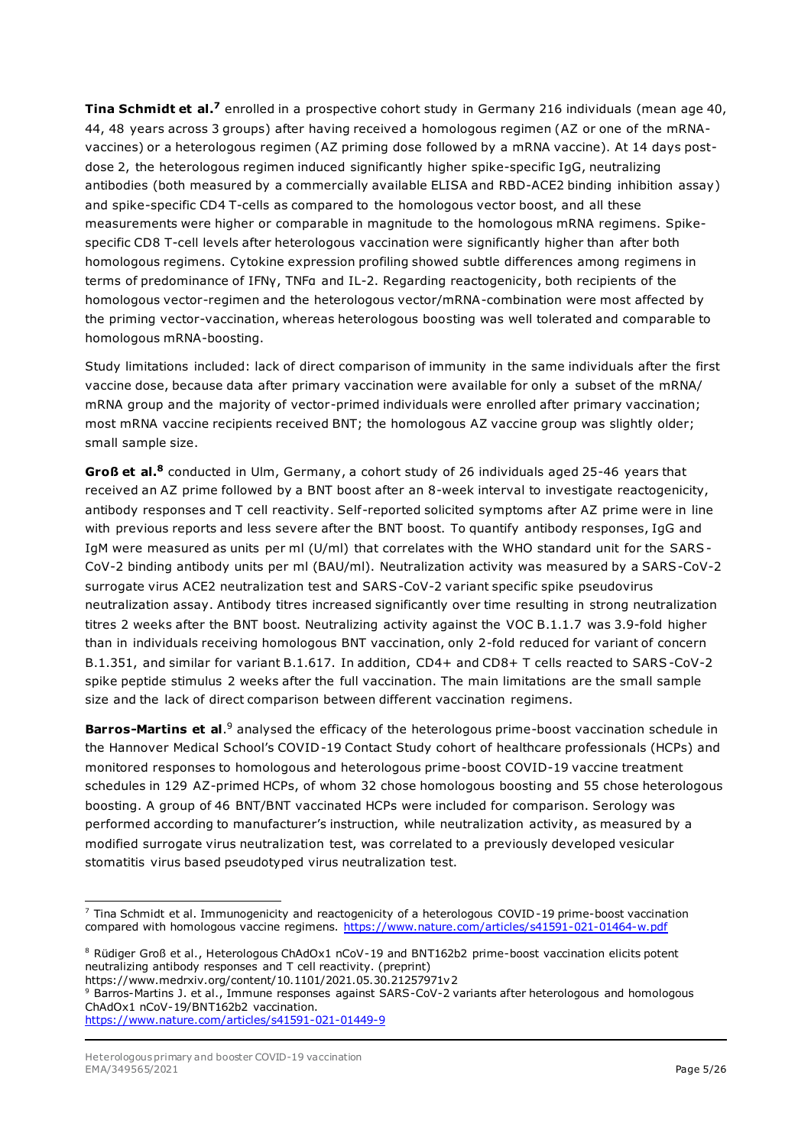**Tina Schmidt et al.<sup>7</sup> enrolled in a prospective cohort study in Germany 216 individuals (mean age 40,** 44, 48 years across 3 groups) after having received a homologous regimen (AZ or one of the mRNAvaccines) or a heterologous regimen (AZ priming dose followed by a mRNA vaccine). At 14 days postdose 2, the heterologous regimen induced significantly higher spike-specific IgG, neutralizing antibodies (both measured by a commercially available ELISA and RBD-ACE2 binding inhibition assay) and spike-specific CD4 T-cells as compared to the homologous vector boost, and all these measurements were higher or comparable in magnitude to the homologous mRNA regimens. Spikespecific CD8 T-cell levels after heterologous vaccination were significantly higher than after both homologous regimens. Cytokine expression profiling showed subtle differences among regimens in terms of predominance of IFNγ, TNFα and IL-2. Regarding reactogenicity, both recipients of the homologous vector-regimen and the heterologous vector/mRNA-combination were most affected by the priming vector-vaccination, whereas heterologous boosting was well tolerated and comparable to homologous mRNA-boosting.

Study limitations included: lack of direct comparison of immunity in the same individuals after the first vaccine dose, because data after primary vaccination were available for only a subset of the mRNA/ mRNA group and the majority of vector-primed individuals were enrolled after primary vaccination; most mRNA vaccine recipients received BNT; the homologous AZ vaccine group was slightly older; small sample size.

**Groß et al.<sup>8</sup>** conducted in Ulm, Germany, a cohort study of 26 individuals aged 25-46 years that received an AZ prime followed by a BNT boost after an 8-week interval to investigate reactogenicity, antibody responses and T cell reactivity. Self-reported solicited symptoms after AZ prime were in line with previous reports and less severe after the BNT boost. To quantify antibody responses, IgG and IgM were measured as units per ml (U/ml) that correlates with the WHO standard unit for the SARS-CoV-2 binding antibody units per ml (BAU/ml). Neutralization activity was measured by a SARS-CoV-2 surrogate virus ACE2 neutralization test and SARS-CoV-2 variant specific spike pseudovirus neutralization assay. Antibody titres increased significantly over time resulting in strong neutralization titres 2 weeks after the BNT boost. Neutralizing activity against the VOC B.1.1.7 was 3.9-fold higher than in individuals receiving homologous BNT vaccination, only 2-fold reduced for variant of concern B.1.351, and similar for variant B.1.617. In addition, CD4+ and CD8+ T cells reacted to SARS-CoV-2 spike peptide stimulus 2 weeks after the full vaccination. The main limitations are the small sample size and the lack of direct comparison between different vaccination regimens.

**Barros-Martins et al.** <sup>9</sup> analysed the efficacy of the heterologous prime-boost vaccination schedule in the Hannover Medical School's COVID-19 Contact Study cohort of healthcare professionals (HCPs) and monitored responses to homologous and heterologous prime-boost COVID-19 vaccine treatment schedules in 129 AZ-primed HCPs, of whom 32 chose homologous boosting and 55 chose heterologous boosting. A group of 46 BNT/BNT vaccinated HCPs were included for comparison. Serology was performed according to manufacturer's instruction, while neutralization activity, as measured by a modified surrogate virus neutralization test, was correlated to a previously developed vesicular stomatitis virus based pseudotyped virus neutralization test.

```
https://www.medrxiv.org/content/10.1101/2021.05.30.21257971v2
```

```
9 Barros-Martins J. et al., Immune responses against SARS-CoV-2 variants after heterologous and homologous 
ChAdOx1 nCoV-19/BNT162b2 vaccination.
```

```
https://www.nature.com/articles/s41591-021-01449-9
```
<sup>&</sup>lt;sup>7</sup> Tina Schmidt et al. Immunogenicity and reactogenicity of a heterologous COVID-19 prime-boost vaccination compared with homologous vaccine regimens.<https://www.nature.com/articles/s41591-021-01464-w.pdf>

<sup>8</sup> Rüdiger Groß et al., Heterologous ChAdOx1 nCoV-19 and BNT162b2 prime-boost vaccination elicits potent neutralizing antibody responses and T cell reactivity. (preprint)

Heterologous primary and booster COVID-19 vaccination EMA/349565/2021 **Page 5/26**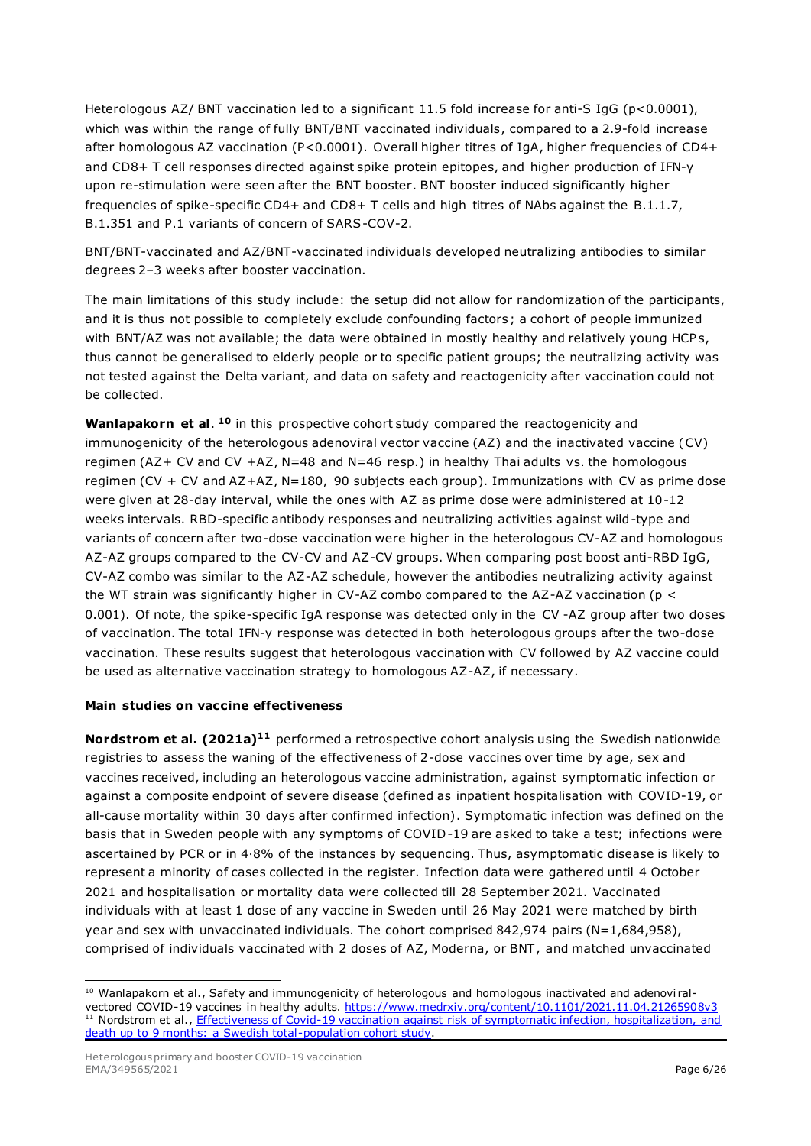Heterologous AZ/ BNT vaccination led to a significant 11.5 fold increase for anti-S IgG (p<0.0001), which was within the range of fully BNT/BNT vaccinated individuals, compared to a 2.9-fold increase after homologous AZ vaccination (P<0.0001). Overall higher titres of IgA, higher frequencies of CD4+ and CD8+ T cell responses directed against spike protein epitopes, and higher production of IFN-γ upon re-stimulation were seen after the BNT booster. BNT booster induced significantly higher frequencies of spike-specific CD4+ and CD8+ T cells and high titres of NAbs against the B.1.1.7, B.1.351 and P.1 variants of concern of SARS-COV-2.

BNT/BNT-vaccinated and AZ/BNT-vaccinated individuals developed neutralizing antibodies to similar degrees 2–3 weeks after booster vaccination.

The main limitations of this study include: the setup did not allow for randomization of the participants, and it is thus not possible to completely exclude confounding factors; a cohort of people immunized with BNT/AZ was not available; the data were obtained in mostly healthy and relatively young HCPs, thus cannot be generalised to elderly people or to specific patient groups; the neutralizing activity was not tested against the Delta variant, and data on safety and reactogenicity after vaccination could not be collected.

Wanlapakorn et al. <sup>10</sup> in this prospective cohort study compared the reactogenicity and immunogenicity of the heterologous adenoviral vector vaccine (AZ) and the inactivated vaccine (CV) regimen (AZ+ CV and CV +AZ, N=48 and N=46 resp.) in healthy Thai adults vs. the homologous regimen (CV + CV and AZ+AZ, N=180, 90 subjects each group). Immunizations with CV as prime dose were given at 28-day interval, while the ones with AZ as prime dose were administered at 10-12 weeks intervals. RBD-specific antibody responses and neutralizing activities against wild-type and variants of concern after two-dose vaccination were higher in the heterologous CV-AZ and homologous AZ-AZ groups compared to the CV-CV and AZ-CV groups. When comparing post boost anti-RBD IgG, CV-AZ combo was similar to the AZ-AZ schedule, however the antibodies neutralizing activity against the WT strain was significantly higher in CV-AZ combo compared to the AZ-AZ vaccination ( $p \lt$ 0.001). Of note, the spike-specific IgA response was detected only in the CV -AZ group after two doses of vaccination. The total IFN-y response was detected in both heterologous groups after the two-dose vaccination. These results suggest that heterologous vaccination with CV followed by AZ vaccine could be used as alternative vaccination strategy to homologous AZ-AZ, if necessary.

#### **Main studies on vaccine effectiveness**

**Nordstrom et al. (2021a)<sup>11</sup>** performed a retrospective cohort analysis using the Swedish nationwide registries to assess the waning of the effectiveness of 2-dose vaccines over time by age, sex and vaccines received, including an heterologous vaccine administration, against symptomatic infection or against a composite endpoint of severe disease (defined as inpatient hospitalisation with COVID-19, or all-cause mortality within 30 days after confirmed infection). Symptomatic infection was defined on the basis that in Sweden people with any symptoms of COVID-19 are asked to take a test; infections were ascertained by PCR or in 4·8% of the instances by sequencing. Thus, asymptomatic disease is likely to represent a minority of cases collected in the register. Infection data were gathered until 4 October 2021 and hospitalisation or mortality data were collected till 28 September 2021. Vaccinated individuals with at least 1 dose of any vaccine in Sweden until 26 May 2021 were matched by birth year and sex with unvaccinated individuals. The cohort comprised 842,974 pairs (N=1,684,958), comprised of individuals vaccinated with 2 doses of AZ, Moderna, or BNT, and matched unvaccinated

<sup>&</sup>lt;sup>10</sup> Wanlapakorn et al., Safety and immunogenicity of heterologous and homologous inactivated and adenoviralvectored COVID-19 vaccines in healthy adults.<https://www.medrxiv.org/content/10.1101/2021.11.04.21265908v3> <sup>11</sup> Nordstrom et al., Effectiveness of Covid-19 vaccination against risk of symptomatic infection, hospitalization, and [death up to 9 months: a Swedish total-population cohort study.](https://ssrn.com/abstract=3949410)

Heterologous primary and booster COVID-19 vaccination EMA/349565/2021 **Page 6/26**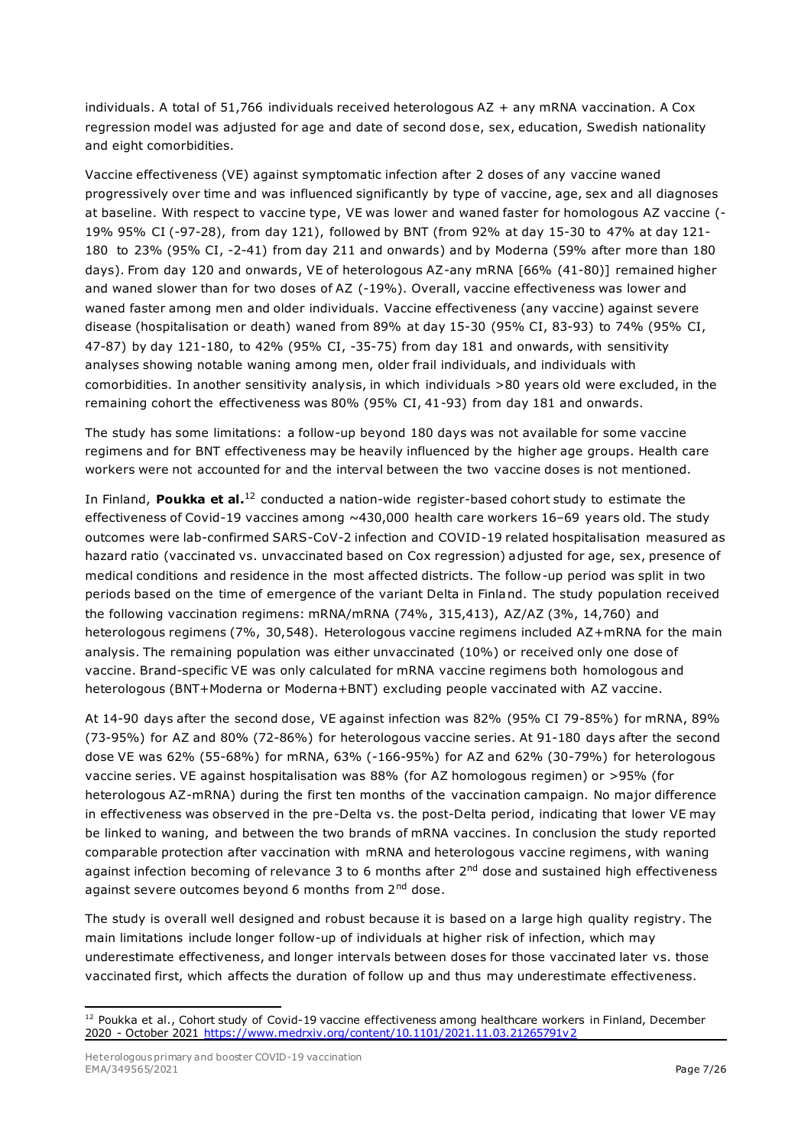individuals. A total of 51,766 individuals received heterologous AZ + any mRNA vaccination. A Cox regression model was adjusted for age and date of second dose, sex, education, Swedish nationality and eight comorbidities.

Vaccine effectiveness (VE) against symptomatic infection after 2 doses of any vaccine waned progressively over time and was influenced significantly by type of vaccine, age, sex and all diagnoses at baseline. With respect to vaccine type, VE was lower and waned faster for homologous AZ vaccine (- 19% 95% CI (-97-28), from day 121), followed by BNT (from 92% at day 15-30 to 47% at day 121- 180 to 23% (95% CI, -2-41) from day 211 and onwards) and by Moderna (59% after more than 180 days). From day 120 and onwards, VE of heterologous AZ-any mRNA [66% (41-80)] remained higher and waned slower than for two doses of AZ (-19%). Overall, vaccine effectiveness was lower and waned faster among men and older individuals. Vaccine effectiveness (any vaccine) against severe disease (hospitalisation or death) waned from 89% at day 15-30 (95% CI, 83-93) to 74% (95% CI, 47-87) by day 121-180, to 42% (95% CI, -35-75) from day 181 and onwards, with sensitivity analyses showing notable waning among men, older frail individuals, and individuals with comorbidities. In another sensitivity analysis, in which individuals >80 years old were excluded, in the remaining cohort the effectiveness was 80% (95% CI, 41-93) from day 181 and onwards.

The study has some limitations: a follow-up beyond 180 days was not available for some vaccine regimens and for BNT effectiveness may be heavily influenced by the higher age groups. Health care workers were not accounted for and the interval between the two vaccine doses is not mentioned.

In Finland, Poukka et al.<sup>12</sup> conducted a nation-wide register-based cohort study to estimate the effectiveness of Covid-19 vaccines among  $~430,000$  health care workers 16-69 years old. The study outcomes were lab-confirmed SARS-CoV-2 infection and COVID-19 related hospitalisation measured as hazard ratio (vaccinated vs. unvaccinated based on Cox regression) adjusted for age, sex, presence of medical conditions and residence in the most affected districts. The follow-up period was split in two periods based on the time of emergence of the variant Delta in Finland. The study population received the following vaccination regimens: mRNA/mRNA (74%, 315,413), AZ/AZ (3%, 14,760) and heterologous regimens (7%, 30,548). Heterologous vaccine regimens included AZ+mRNA for the main analysis. The remaining population was either unvaccinated (10%) or received only one dose of vaccine. Brand-specific VE was only calculated for mRNA vaccine regimens both homologous and heterologous (BNT+Moderna or Moderna+BNT) excluding people vaccinated with AZ vaccine.

At 14-90 days after the second dose, VE against infection was 82% (95% CI 79-85%) for mRNA, 89% (73-95%) for AZ and 80% (72-86%) for heterologous vaccine series. At 91-180 days after the second dose VE was 62% (55-68%) for mRNA, 63% (-166-95%) for AZ and 62% (30-79%) for heterologous vaccine series. VE against hospitalisation was 88% (for AZ homologous regimen) or >95% (for heterologous AZ-mRNA) during the first ten months of the vaccination campaign. No major difference in effectiveness was observed in the pre-Delta vs. the post-Delta period, indicating that lower VE may be linked to waning, and between the two brands of mRNA vaccines. In conclusion the study reported comparable protection after vaccination with mRNA and heterologous vaccine regimens, with waning against infection becoming of relevance 3 to 6 months after 2<sup>nd</sup> dose and sustained high effectiveness against severe outcomes beyond 6 months from 2<sup>nd</sup> dose.

The study is overall well designed and robust because it is based on a large high quality registry. The main limitations include longer follow-up of individuals at higher risk of infection, which may underestimate effectiveness, and longer intervals between doses for those vaccinated later vs. those vaccinated first, which affects the duration of follow up and thus may underestimate effectiveness.

<sup>&</sup>lt;sup>12</sup> Poukka et al., Cohort study of Covid-19 vaccine effectiveness among healthcare workers in Finland, December 2020 - October 2021<https://www.medrxiv.org/content/10.1101/2021.11.03.21265791v2>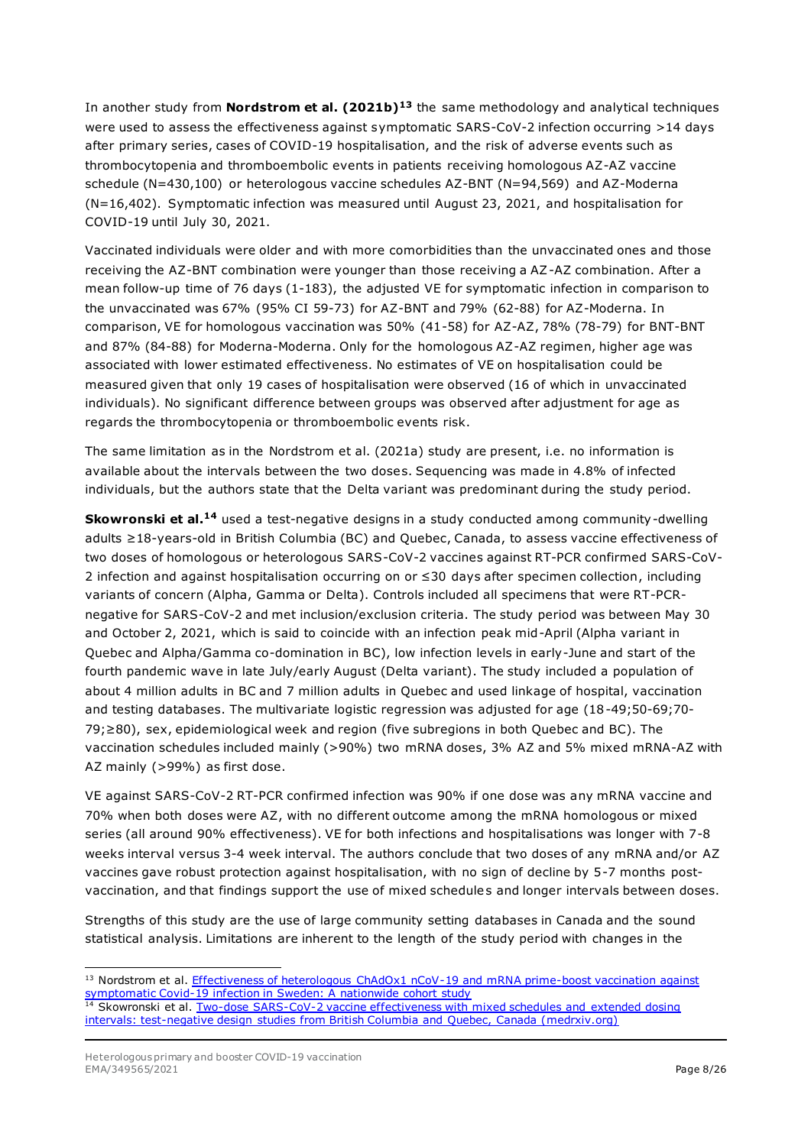In another study from **Nordstrom et al. (2021b)<sup>13</sup>** the same methodology and analytical techniques were used to assess the effectiveness against symptomatic SARS-CoV-2 infection occurring >14 days after primary series, cases of COVID-19 hospitalisation, and the risk of adverse events such as thrombocytopenia and thromboembolic events in patients receiving homologous AZ-AZ vaccine schedule (N=430,100) or heterologous vaccine schedules AZ-BNT (N=94,569) and AZ-Moderna (N=16,402). Symptomatic infection was measured until August 23, 2021, and hospitalisation for COVID-19 until July 30, 2021.

Vaccinated individuals were older and with more comorbidities than the unvaccinated ones and those receiving the AZ-BNT combination were younger than those receiving a AZ-AZ combination. After a mean follow-up time of 76 days (1-183), the adjusted VE for symptomatic infection in comparison to the unvaccinated was 67% (95% CI 59-73) for AZ-BNT and 79% (62-88) for AZ-Moderna. In comparison, VE for homologous vaccination was 50% (41-58) for AZ-AZ, 78% (78-79) for BNT-BNT and 87% (84-88) for Moderna-Moderna. Only for the homologous AZ-AZ regimen, higher age was associated with lower estimated effectiveness. No estimates of VE on hospitalisation could be measured given that only 19 cases of hospitalisation were observed (16 of which in unvaccinated individuals). No significant difference between groups was observed after adjustment for age as regards the thrombocytopenia or thromboembolic events risk.

The same limitation as in the Nordstrom et al. (2021a) study are present, i.e. no information is available about the intervals between the two doses. Sequencing was made in 4.8% of infected individuals, but the authors state that the Delta variant was predominant during the study period.

**Skowronski et al.<sup>14</sup>** used a test-negative designs in a study conducted among community-dwelling adults ≥18-years-old in British Columbia (BC) and Quebec, Canada, to assess vaccine effectiveness of two doses of homologous or heterologous SARS-CoV-2 vaccines against RT-PCR confirmed SARS-CoV-2 infection and against hospitalisation occurring on or ≤30 days after specimen collection, including variants of concern (Alpha, Gamma or Delta). Controls included all specimens that were RT-PCRnegative for SARS-CoV-2 and met inclusion/exclusion criteria. The study period was between May 30 and October 2, 2021, which is said to coincide with an infection peak mid-April (Alpha variant in Quebec and Alpha/Gamma co-domination in BC), low infection levels in early-June and start of the fourth pandemic wave in late July/early August (Delta variant). The study included a population of about 4 million adults in BC and 7 million adults in Quebec and used linkage of hospital, vaccination and testing databases. The multivariate logistic regression was adjusted for age (18-49;50-69;70- 79;≥80), sex, epidemiological week and region (five subregions in both Quebec and BC). The vaccination schedules included mainly (>90%) two mRNA doses, 3% AZ and 5% mixed mRNA-AZ with AZ mainly (>99%) as first dose.

VE against SARS-CoV-2 RT-PCR confirmed infection was 90% if one dose was any mRNA vaccine and 70% when both doses were AZ, with no different outcome among the mRNA homologous or mixed series (all around 90% effectiveness). VE for both infections and hospitalisations was longer with 7-8 weeks interval versus 3-4 week interval. The authors conclude that two doses of any mRNA and/or AZ vaccines gave robust protection against hospitalisation, with no sign of decline by 5-7 months postvaccination, and that findings support the use of mixed schedules and longer intervals between doses.

Strengths of this study are the use of large community setting databases in Canada and the sound statistical analysis. Limitations are inherent to the length of the study period with changes in the

 $13$  Nordstrom et al. Effectiveness of heterologous ChAdOx1 nCoV-19 and mRNA prime-boost vaccination against [symptomatic Covid-19 infection in Sweden: A nationwide cohort study](https://www.sciencedirect.com/science/article/pii/S2666776221002350)

<sup>&</sup>lt;sup>14</sup> Skowronski et al. Two-dose SARS-CoV-2 vaccine effectiveness with mixed schedules and extended dosing [intervals: test-negative design studies from British Columbia and](https://www.medrxiv.org/content/10.1101/2021.10.26.21265397v1.full.pdf) Quebec, Canada (medrxiv.org)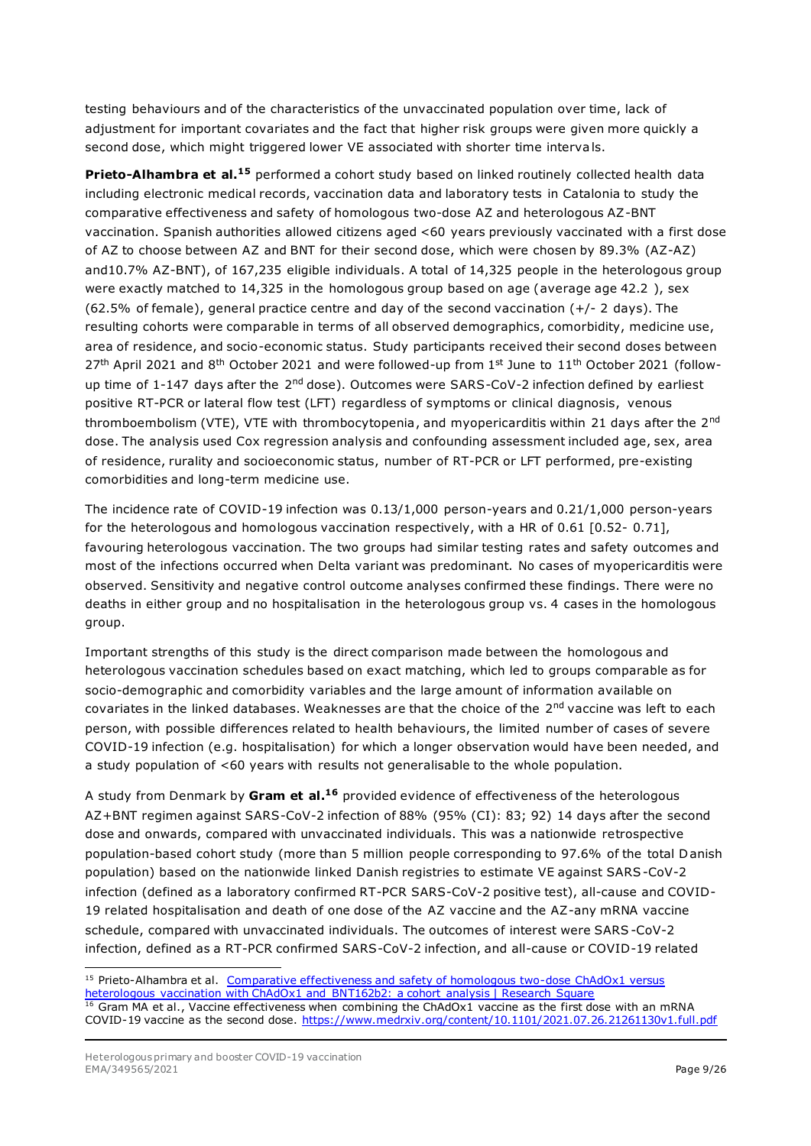testing behaviours and of the characteristics of the unvaccinated population over time, lack of adjustment for important covariates and the fact that higher risk groups were given more quickly a second dose, which might triggered lower VE associated with shorter time intervals.

**Prieto-Alhambra et al.<sup>15</sup>** performed a cohort study based on linked routinely collected health data including electronic medical records, vaccination data and laboratory tests in Catalonia to study the comparative effectiveness and safety of homologous two-dose AZ and heterologous AZ-BNT vaccination. Spanish authorities allowed citizens aged <60 years previously vaccinated with a first dose of AZ to choose between AZ and BNT for their second dose, which were chosen by 89.3% (AZ-AZ) and10.7% AZ-BNT), of 167,235 eligible individuals. A total of 14,325 people in the heterologous group were exactly matched to 14,325 in the homologous group based on age (average age 42.2 ), sex (62.5% of female), general practice centre and day of the second vaccination  $(+/- 2 \text{ days})$ . The resulting cohorts were comparable in terms of all observed demographics, comorbidity, medicine use, area of residence, and socio-economic status. Study participants received their second doses between  $27<sup>th</sup>$  April 2021 and 8<sup>th</sup> October 2021 and were followed-up from 1st June to 11<sup>th</sup> October 2021 (followup time of 1-147 days after the 2<sup>nd</sup> dose). Outcomes were SARS-CoV-2 infection defined by earliest positive RT-PCR or lateral flow test (LFT) regardless of symptoms or clinical diagnosis, venous thromboembolism (VTE), VTE with thrombocytopenia, and myopericarditis within 21 days after the 2<sup>nd</sup> dose. The analysis used Cox regression analysis and confounding assessment included age, sex, area of residence, rurality and socioeconomic status, number of RT-PCR or LFT performed, pre-existing comorbidities and long-term medicine use.

The incidence rate of COVID-19 infection was 0.13/1,000 person-years and 0.21/1,000 person-years for the heterologous and homologous vaccination respectively, with a HR of 0.61 [0.52- 0.71], favouring heterologous vaccination. The two groups had similar testing rates and safety outcomes and most of the infections occurred when Delta variant was predominant. No cases of myopericarditis were observed. Sensitivity and negative control outcome analyses confirmed these findings. There were no deaths in either group and no hospitalisation in the heterologous group vs. 4 cases in the homologous group.

Important strengths of this study is the direct comparison made between the homologous and heterologous vaccination schedules based on exact matching, which led to groups comparable as for socio-demographic and comorbidity variables and the large amount of information available on covariates in the linked databases. Weaknesses are that the choice of the 2<sup>nd</sup> vaccine was left to each person, with possible differences related to health behaviours, the limited number of cases of severe COVID-19 infection (e.g. hospitalisation) for which a longer observation would have been needed, and a study population of <60 years with results not generalisable to the whole population.

A study from Denmark by **Gram et al. <sup>16</sup>** provided evidence of effectiveness of the heterologous AZ+BNT regimen against SARS-CoV-2 infection of 88% (95% (CI): 83; 92) 14 days after the second dose and onwards, compared with unvaccinated individuals. This was a nationwide retrospective population-based cohort study (more than 5 million people corresponding to 97.6% of the total Danish population) based on the nationwide linked Danish registries to estimate VE against SARS-CoV-2 infection (defined as a laboratory confirmed RT-PCR SARS-CoV-2 positive test), all-cause and COVID-19 related hospitalisation and death of one dose of the AZ vaccine and the AZ-any mRNA vaccine schedule, compared with unvaccinated individuals. The outcomes of interest were SARS -CoV-2 infection, defined as a RT-PCR confirmed SARS-CoV-2 infection, and all-cause or COVID-19 related

<sup>&</sup>lt;sup>15</sup> Prieto-Alhambra et al. Comparative effectiveness and safety of homologous two-dose ChAdOx1 versus [heterologous vaccination with ChAdOx1 and BNT162b2: a cohort analysis | Research Square](https://www.researchsquare.com/article/rs-1074858/v1) 16 Gram MA et al., Vaccine effectiveness when combining the ChAdOx1 vaccine as the first dose with an mRNA COVID-19 vaccine as the second dose.<https://www.medrxiv.org/content/10.1101/2021.07.26.21261130v1.full.pdf>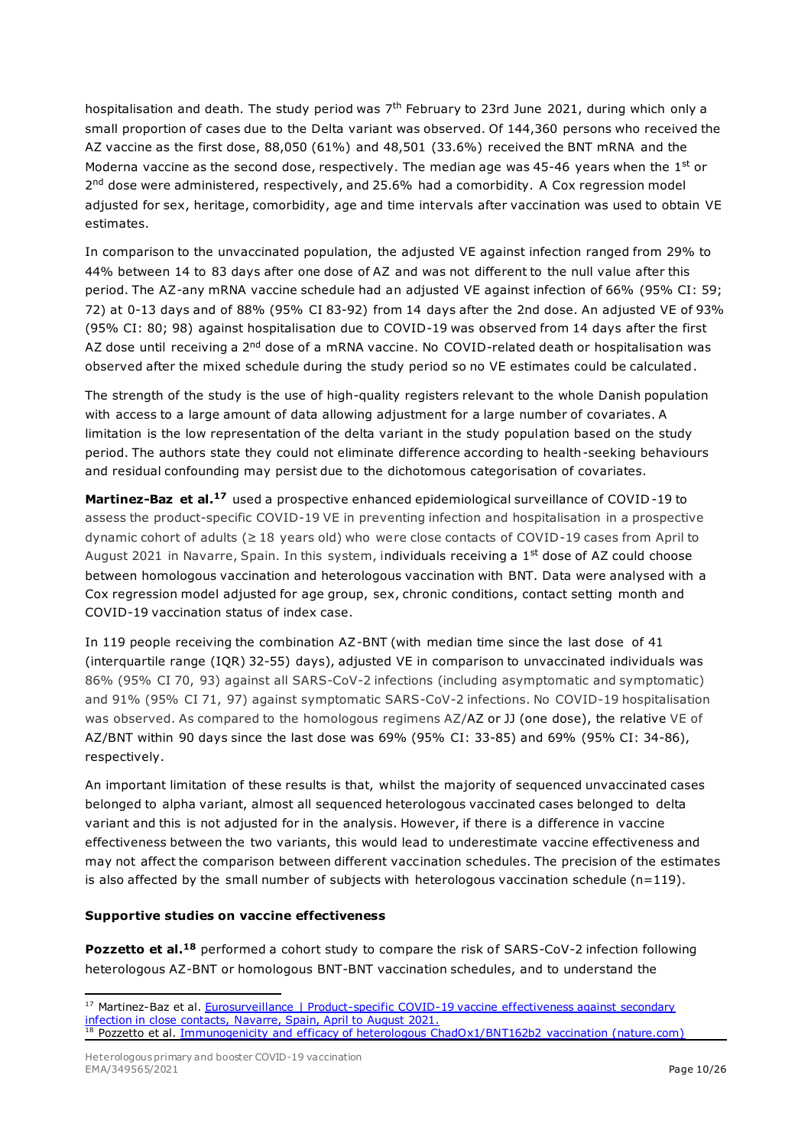hospitalisation and death. The study period was  $7<sup>th</sup>$  February to 23rd June 2021, during which only a small proportion of cases due to the Delta variant was observed. Of 144,360 persons who received the AZ vaccine as the first dose, 88,050 (61%) and 48,501 (33.6%) received the BNT mRNA and the Moderna vaccine as the second dose, respectively. The median age was 45-46 years when the  $1<sup>st</sup>$  or 2<sup>nd</sup> dose were administered, respectively, and 25.6% had a comorbidity. A Cox regression model adjusted for sex, heritage, comorbidity, age and time intervals after vaccination was used to obtain VE estimates.

In comparison to the unvaccinated population, the adjusted VE against infection ranged from 29% to 44% between 14 to 83 days after one dose of AZ and was not different to the null value after this period. The AZ-any mRNA vaccine schedule had an adjusted VE against infection of 66% (95% CI: 59; 72) at 0-13 days and of 88% (95% CI 83-92) from 14 days after the 2nd dose. An adjusted VE of 93% (95% CI: 80; 98) against hospitalisation due to COVID-19 was observed from 14 days after the first AZ dose until receiving a 2<sup>nd</sup> dose of a mRNA vaccine. No COVID-related death or hospitalisation was observed after the mixed schedule during the study period so no VE estimates could be calculated.

The strength of the study is the use of high-quality registers relevant to the whole Danish population with access to a large amount of data allowing adjustment for a large number of covariates. A limitation is the low representation of the delta variant in the study population based on the study period. The authors state they could not eliminate difference according to health-seeking behaviours and residual confounding may persist due to the dichotomous categorisation of covariates.

**Martinez-Baz et al.<sup>17</sup>** used a prospective enhanced epidemiological surveillance of COVID-19 to assess the product-specific COVID-19 VE in preventing infection and hospitalisation in a prospective dynamic cohort of adults (≥ 18 years old) who were close contacts of COVID-19 cases from April to August 2021 in Navarre, Spain. In this system, individuals receiving a  $1<sup>st</sup>$  dose of AZ could choose between homologous vaccination and heterologous vaccination with BNT. Data were analysed with a Cox regression model adjusted for age group, sex, chronic conditions, contact setting month and COVID-19 vaccination status of index case.

In 119 people receiving the combination AZ-BNT (with median time since the last dose of 41 (interquartile range (IQR) 32-55) days), adjusted VE in comparison to unvaccinated individuals was 86% (95% CI 70, 93) against all SARS-CoV-2 infections (including asymptomatic and symptomatic) and 91% (95% CI 71, 97) against symptomatic SARS-CoV-2 infections. No COVID-19 hospitalisation was observed. As compared to the homologous regimens AZ/AZ or JJ (one dose), the relative VE of AZ/BNT within 90 days since the last dose was 69% (95% CI: 33-85) and 69% (95% CI: 34-86), respectively.

An important limitation of these results is that, whilst the majority of sequenced unvaccinated cases belonged to alpha variant, almost all sequenced heterologous vaccinated cases belonged to delta variant and this is not adjusted for in the analysis. However, if there is a difference in vaccine effectiveness between the two variants, this would lead to underestimate vaccine effectiveness and may not affect the comparison between different vaccination schedules. The precision of the estimates is also affected by the small number of subjects with heterologous vaccination schedule ( $n=119$ ).

#### **Supportive studies on vaccine effectiveness**

**Pozzetto et al.<sup>18</sup>** performed a cohort study to compare the risk of SARS-CoV-2 infection following heterologous AZ-BNT or homologous BNT-BNT vaccination schedules, and to understand the

<sup>&</sup>lt;sup>17</sup> Martinez-Baz et al. [Eurosurveillance | Product-specific COVID-19](https://www.eurosurveillance.org/content/10.2807/1560-7917.ES.2021.26.39.2100894) vaccine effectiveness against secondary [infection in close contacts, Navarre, Spain, April to August 2021.](https://www.eurosurveillance.org/content/10.2807/1560-7917.ES.2021.26.39.2100894) <sup>18</sup> Pozzetto et al. [Immunogenicity and efficacy of heterologous ChadOx1/BNT162b2 vaccination \(nature.com\)](https://www.nature.com/articles/s41586-021-04120-y_reference.pdf)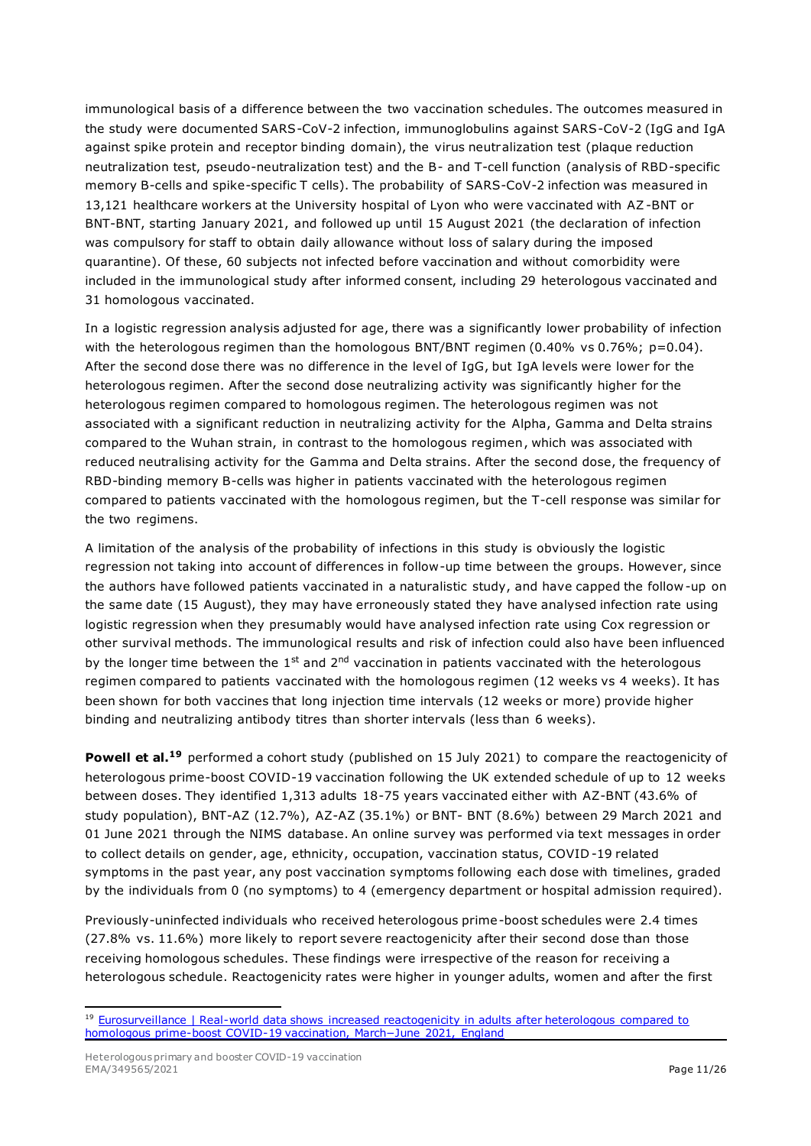immunological basis of a difference between the two vaccination schedules. The outcomes measured in the study were documented SARS-CoV-2 infection, immunoglobulins against SARS-CoV-2 (IgG and IgA against spike protein and receptor binding domain), the virus neutralization test (plaque reduction neutralization test, pseudo-neutralization test) and the B- and T-cell function (analysis of RBD-specific memory B-cells and spike-specific T cells). The probability of SARS-CoV-2 infection was measured in 13,121 healthcare workers at the University hospital of Lyon who were vaccinated with AZ-BNT or BNT-BNT, starting January 2021, and followed up until 15 August 2021 (the declaration of infection was compulsory for staff to obtain daily allowance without loss of salary during the imposed quarantine). Of these, 60 subjects not infected before vaccination and without comorbidity were included in the immunological study after informed consent, including 29 heterologous vaccinated and 31 homologous vaccinated.

In a logistic regression analysis adjusted for age, there was a significantly lower probability of infection with the heterologous regimen than the homologous BNT/BNT regimen (0.40% vs 0.76%;  $p=0.04$ ). After the second dose there was no difference in the level of IgG, but IgA levels were lower for the heterologous regimen. After the second dose neutralizing activity was significantly higher for the heterologous regimen compared to homologous regimen. The heterologous regimen was not associated with a significant reduction in neutralizing activity for the Alpha, Gamma and Delta strains compared to the Wuhan strain, in contrast to the homologous regimen, which was associated with reduced neutralising activity for the Gamma and Delta strains. After the second dose, the frequency of RBD-binding memory B-cells was higher in patients vaccinated with the heterologous regimen compared to patients vaccinated with the homologous regimen, but the T-cell response was similar for the two regimens.

A limitation of the analysis of the probability of infections in this study is obviously the logistic regression not taking into account of differences in follow-up time between the groups. However, since the authors have followed patients vaccinated in a naturalistic study, and have capped the follow -up on the same date (15 August), they may have erroneously stated they have analysed infection rate using logistic regression when they presumably would have analysed infection rate using Cox regression or other survival methods. The immunological results and risk of infection could also have been influenced by the longer time between the  $1<sup>st</sup>$  and  $2<sup>nd</sup>$  vaccination in patients vaccinated with the heterologous regimen compared to patients vaccinated with the homologous regimen (12 weeks vs 4 weeks). It has been shown for both vaccines that long injection time intervals (12 weeks or more) provide higher binding and neutralizing antibody titres than shorter intervals (less than 6 weeks).

**Powell et al.<sup>19</sup>** performed a cohort study (published on 15 July 2021) to compare the reactogenicity of heterologous prime-boost COVID-19 vaccination following the UK extended schedule of up to 12 weeks between doses. They identified 1,313 adults 18-75 years vaccinated either with AZ-BNT (43.6% of study population), BNT-AZ (12.7%), AZ-AZ (35.1%) or BNT- BNT (8.6%) between 29 March 2021 and 01 June 2021 through the NIMS database. An online survey was performed via text messages in order to collect details on gender, age, ethnicity, occupation, vaccination status, COVID -19 related symptoms in the past year, any post vaccination symptoms following each dose with timelines, graded by the individuals from 0 (no symptoms) to 4 (emergency department or hospital admission required).

Previously-uninfected individuals who received heterologous prime-boost schedules were 2.4 times (27.8% vs. 11.6%) more likely to report severe reactogenicity after their second dose than those receiving homologous schedules. These findings were irrespective of the reason for receiving a heterologous schedule. Reactogenicity rates were higher in younger adults, women and after the first

<sup>&</sup>lt;sup>19</sup> Eurosurveillance | Real-world data shows increased reactogenicity in adults after heterologous compared to homologous prime-boost COVID-1[9 vaccination, March−June 2021, England](https://www.eurosurveillance.org/content/10.2807/1560-7917.ES.2021.26.28.2100634#supplementary_data)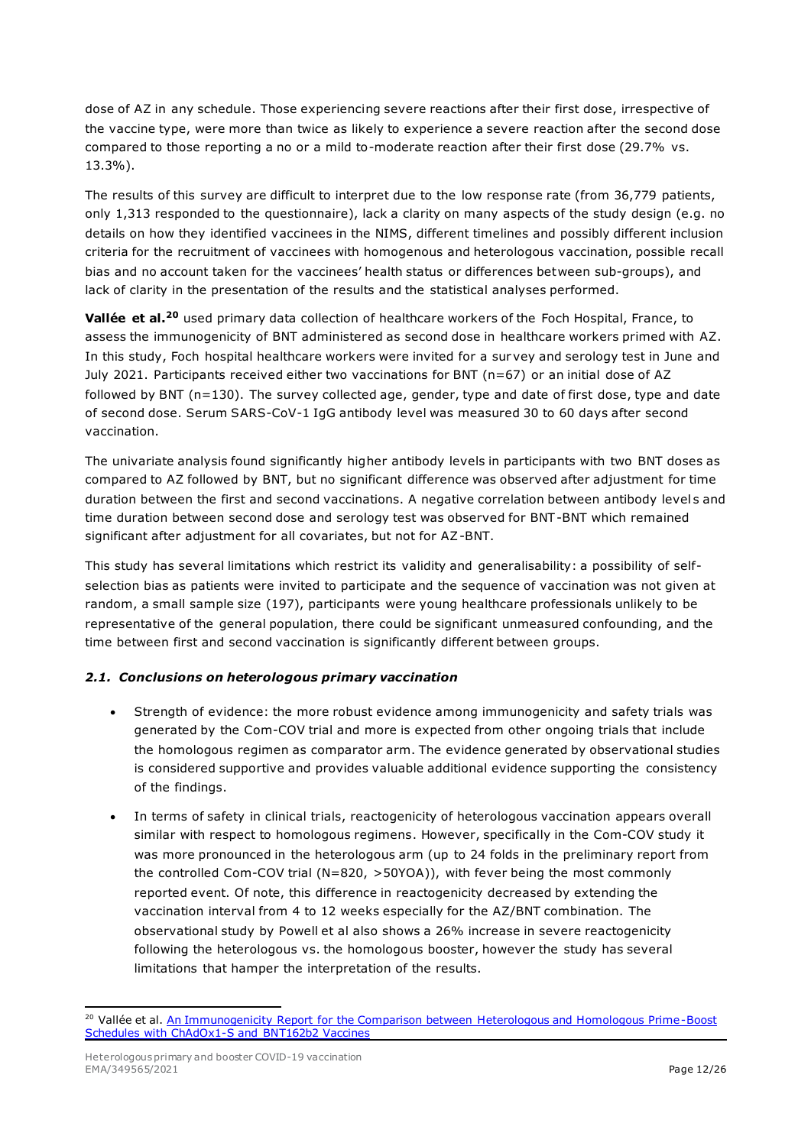dose of AZ in any schedule. Those experiencing severe reactions after their first dose, irrespective of the vaccine type, were more than twice as likely to experience a severe reaction after the second dose compared to those reporting a no or a mild to-moderate reaction after their first dose (29.7% vs. 13.3%).

The results of this survey are difficult to interpret due to the low response rate (from 36,779 patients, only 1,313 responded to the questionnaire), lack a clarity on many aspects of the study design (e.g. no details on how they identified vaccinees in the NIMS, different timelines and possibly different inclusion criteria for the recruitment of vaccinees with homogenous and heterologous vaccination, possible recall bias and no account taken for the vaccinees' health status or differences between sub-groups), and lack of clarity in the presentation of the results and the statistical analyses performed.

**Vallée et al.<sup>20</sup>** used primary data collection of healthcare workers of the Foch Hospital, France, to assess the immunogenicity of BNT administered as second dose in healthcare workers primed with AZ. In this study, Foch hospital healthcare workers were invited for a survey and serology test in June and July 2021. Participants received either two vaccinations for BNT (n=67) or an initial dose of AZ followed by BNT (n=130). The survey collected age, gender, type and date of first dose, type and date of second dose. Serum SARS-CoV-1 IgG antibody level was measured 30 to 60 days after second vaccination.

The univariate analysis found significantly higher antibody levels in participants with two BNT doses as compared to AZ followed by BNT, but no significant difference was observed after adjustment for time duration between the first and second vaccinations. A negative correlation between antibody levels and time duration between second dose and serology test was observed for BNT-BNT which remained significant after adjustment for all covariates, but not for AZ-BNT.

This study has several limitations which restrict its validity and generalisability: a possibility of selfselection bias as patients were invited to participate and the sequence of vaccination was not given at random, a small sample size (197), participants were young healthcare professionals unlikely to be representative of the general population, there could be significant unmeasured confounding, and the time between first and second vaccination is significantly different between groups.

#### *2.1. Conclusions on heterologous primary vaccination*

- Strength of evidence: the more robust evidence among immunogenicity and safety trials was generated by the Com-COV trial and more is expected from other ongoing trials that include the homologous regimen as comparator arm. The evidence generated by observational studies is considered supportive and provides valuable additional evidence supporting the consistency of the findings.
- In terms of safety in clinical trials, reactogenicity of heterologous vaccination appears overall similar with respect to homologous regimens. However, specifically in the Com-COV study it was more pronounced in the heterologous arm (up to 24 folds in the preliminary report from the controlled Com-COV trial (N=820, >50YOA)), with fever being the most commonly reported event. Of note, this difference in reactogenicity decreased by extending the vaccination interval from 4 to 12 weeks especially for the AZ/BNT combination. The observational study by Powell et al also shows a 26% increase in severe reactogenicity following the heterologous vs. the homologous booster, however the study has several limitations that hamper the interpretation of the results.

<sup>&</sup>lt;sup>20</sup> Vallée et al. An Immunogenicity Report for the Comparison between Heterologous and Homologous Prime-Boost [Schedules with ChAdOx1-S and BNT162b2 Vaccines](https://www.mdpi.com/2077-0383/10/17/3817)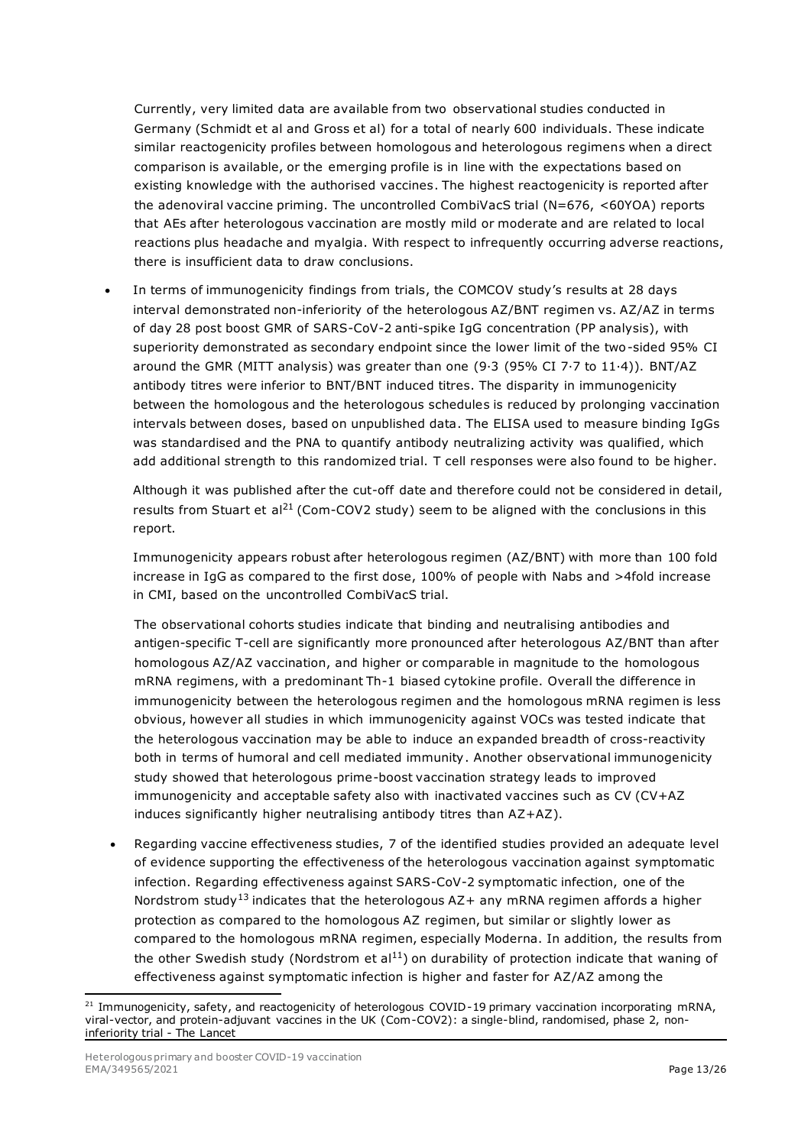Currently, very limited data are available from two observational studies conducted in Germany (Schmidt et al and Gross et al) for a total of nearly 600 individuals. These indicate similar reactogenicity profiles between homologous and heterologous regimens when a direct comparison is available, or the emerging profile is in line with the expectations based on existing knowledge with the authorised vaccines. The highest reactogenicity is reported after the adenoviral vaccine priming. The uncontrolled CombiVacS trial (N=676, <60YOA) reports that AEs after heterologous vaccination are mostly mild or moderate and are related to local reactions plus headache and myalgia. With respect to infrequently occurring adverse reactions, there is insufficient data to draw conclusions.

• In terms of immunogenicity findings from trials, the COMCOV study's results at 28 days interval demonstrated non-inferiority of the heterologous AZ/BNT regimen vs. AZ/AZ in terms of day 28 post boost GMR of SARS-CoV-2 anti-spike IgG concentration (PP analysis), with superiority demonstrated as secondary endpoint since the lower limit of the two-sided 95% CI around the GMR (MITT analysis) was greater than one (9·3 (95% CI 7·7 to 11·4)). BNT/AZ antibody titres were inferior to BNT/BNT induced titres. The disparity in immunogenicity between the homologous and the heterologous schedules is reduced by prolonging vaccination intervals between doses, based on unpublished data. The ELISA used to measure binding IgGs was standardised and the PNA to quantify antibody neutralizing activity was qualified, which add additional strength to this randomized trial. T cell responses were also found to be higher.

Although it was published after the cut-off date and therefore could not be considered in detail, results from Stuart et al<sup>21</sup> (Com-COV2 study) seem to be aligned with the conclusions in this report.

Immunogenicity appears robust after heterologous regimen (AZ/BNT) with more than 100 fold increase in IgG as compared to the first dose, 100% of people with Nabs and >4fold increase in CMI, based on the uncontrolled CombiVacS trial.

The observational cohorts studies indicate that binding and neutralising antibodies and antigen-specific T-cell are significantly more pronounced after heterologous AZ/BNT than after homologous AZ/AZ vaccination, and higher or comparable in magnitude to the homologous mRNA regimens, with a predominant Th-1 biased cytokine profile. Overall the difference in immunogenicity between the heterologous regimen and the homologous mRNA regimen is less obvious, however all studies in which immunogenicity against VOCs was tested indicate that the heterologous vaccination may be able to induce an expanded breadth of cross-reactivity both in terms of humoral and cell mediated immunity. Another observational immunogenicity study showed that heterologous prime-boost vaccination strategy leads to improved immunogenicity and acceptable safety also with inactivated vaccines such as CV (CV+AZ induces significantly higher neutralising antibody titres than AZ+AZ).

• Regarding vaccine effectiveness studies, 7 of the identified studies provided an adequate level of evidence supporting the effectiveness of the heterologous vaccination against symptomatic infection. Regarding effectiveness against SARS-CoV-2 symptomatic infection, one of the Nordstrom study<sup>13</sup> indicates that the heterologous  $AZ+$  any mRNA regimen affords a higher protection as compared to the homologous AZ regimen, but similar or slightly lower as compared to the homologous mRNA regimen, especially Moderna. In addition, the results from the other Swedish study (Nordstrom et al<sup>11</sup>) on durability of protection indicate that waning of effectiveness against symptomatic infection is higher and faster for AZ/AZ among the

<sup>&</sup>lt;sup>21</sup> Immunogenicity, safety, and reactogenicity of heterologous COVID-19 primary vaccination incorporating mRNA, viral-vector, and protein-adjuvant vaccines in the UK (Com-COV2): a single-blind, randomised, phase 2, noninferiority trial - The Lancet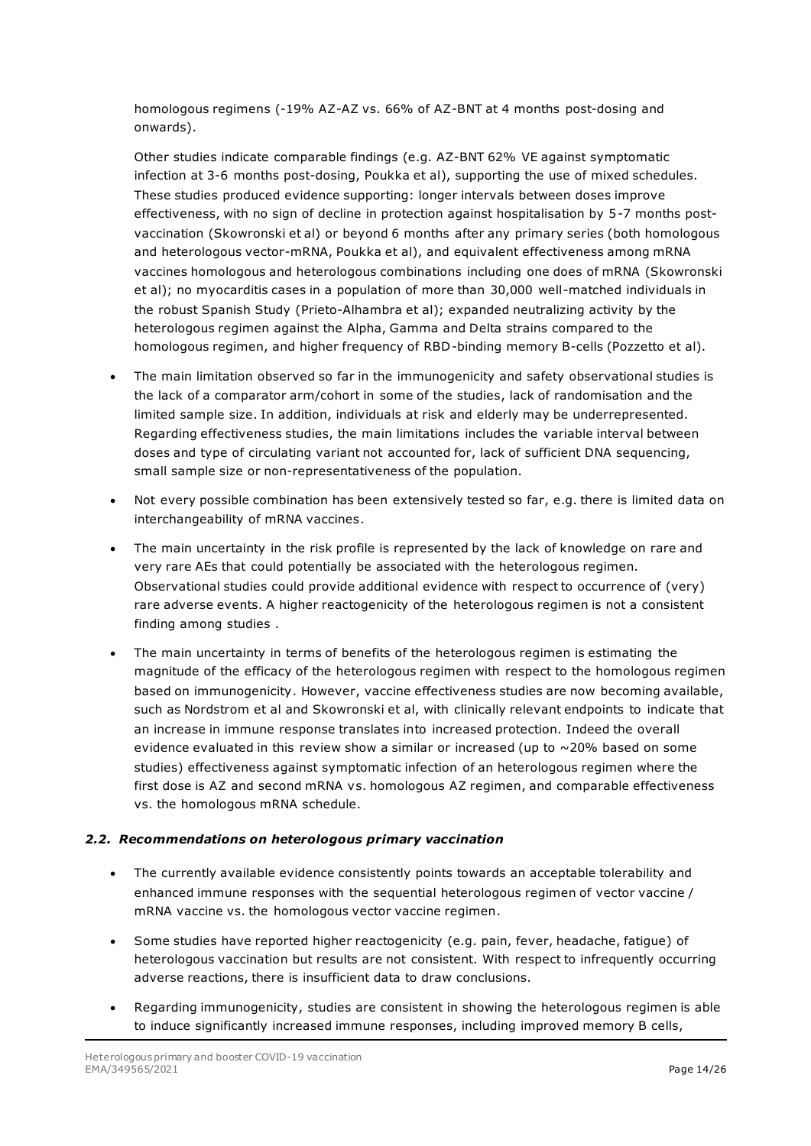homologous regimens (-19% AZ-AZ vs. 66% of AZ-BNT at 4 months post-dosing and onwards).

Other studies indicate comparable findings (e.g. AZ-BNT 62% VE against symptomatic infection at 3-6 months post-dosing, Poukka et al), supporting the use of mixed schedules. These studies produced evidence supporting: longer intervals between doses improve effectiveness, with no sign of decline in protection against hospitalisation by 5-7 months postvaccination (Skowronski et al) or beyond 6 months after any primary series (both homologous and heterologous vector-mRNA, Poukka et al), and equivalent effectiveness among mRNA vaccines homologous and heterologous combinations including one does of mRNA (Skowronski et al); no myocarditis cases in a population of more than 30,000 well-matched individuals in the robust Spanish Study (Prieto-Alhambra et al); expanded neutralizing activity by the heterologous regimen against the Alpha, Gamma and Delta strains compared to the homologous regimen, and higher frequency of RBD-binding memory B-cells (Pozzetto et al).

- The main limitation observed so far in the immunogenicity and safety observational studies is the lack of a comparator arm/cohort in some of the studies, lack of randomisation and the limited sample size. In addition, individuals at risk and elderly may be underrepresented. Regarding effectiveness studies, the main limitations includes the variable interval between doses and type of circulating variant not accounted for, lack of sufficient DNA sequencing, small sample size or non-representativeness of the population.
- Not every possible combination has been extensively tested so far, e.g. there is limited data on interchangeability of mRNA vaccines.
- The main uncertainty in the risk profile is represented by the lack of knowledge on rare and very rare AEs that could potentially be associated with the heterologous regimen. Observational studies could provide additional evidence with respect to occurrence of (very) rare adverse events. A higher reactogenicity of the heterologous regimen is not a consistent finding among studies .
- The main uncertainty in terms of benefits of the heterologous regimen is estimating the magnitude of the efficacy of the heterologous regimen with respect to the homologous regimen based on immunogenicity. However, vaccine effectiveness studies are now becoming available, such as Nordstrom et al and Skowronski et al, with clinically relevant endpoints to indicate that an increase in immune response translates into increased protection. Indeed the overall evidence evaluated in this review show a similar or increased (up to  $\sim$  20% based on some studies) effectiveness against symptomatic infection of an heterologous regimen where the first dose is AZ and second mRNA vs. homologous AZ regimen, and comparable effectiveness vs. the homologous mRNA schedule.

#### *2.2. Recommendations on heterologous primary vaccination*

- The currently available evidence consistently points towards an acceptable tolerability and enhanced immune responses with the sequential heterologous regimen of vector vaccine / mRNA vaccine vs. the homologous vector vaccine regimen.
- Some studies have reported higher reactogenicity (e.g. pain, fever, headache, fatigue) of heterologous vaccination but results are not consistent. With respect to infrequently occurring adverse reactions, there is insufficient data to draw conclusions.
- Regarding immunogenicity, studies are consistent in showing the heterologous regimen is able to induce significantly increased immune responses, including improved memory B cells,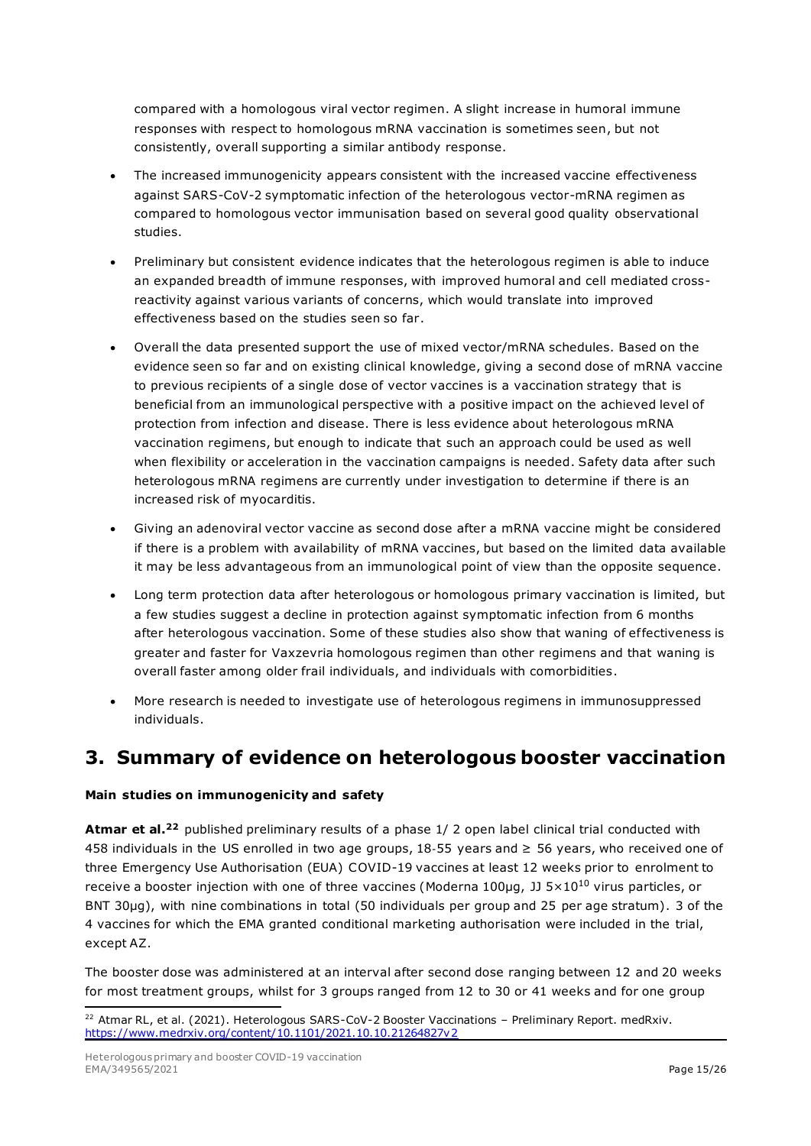compared with a homologous viral vector regimen. A slight increase in humoral immune responses with respect to homologous mRNA vaccination is sometimes seen, but not consistently, overall supporting a similar antibody response.

- The increased immunogenicity appears consistent with the increased vaccine effectiveness against SARS-CoV-2 symptomatic infection of the heterologous vector-mRNA regimen as compared to homologous vector immunisation based on several good quality observational studies.
- Preliminary but consistent evidence indicates that the heterologous regimen is able to induce an expanded breadth of immune responses, with improved humoral and cell mediated crossreactivity against various variants of concerns, which would translate into improved effectiveness based on the studies seen so far.
- Overall the data presented support the use of mixed vector/mRNA schedules. Based on the evidence seen so far and on existing clinical knowledge, giving a second dose of mRNA vaccine to previous recipients of a single dose of vector vaccines is a vaccination strategy that is beneficial from an immunological perspective with a positive impact on the achieved level of protection from infection and disease. There is less evidence about heterologous mRNA vaccination regimens, but enough to indicate that such an approach could be used as well when flexibility or acceleration in the vaccination campaigns is needed. Safety data after such heterologous mRNA regimens are currently under investigation to determine if there is an increased risk of myocarditis.
- Giving an adenoviral vector vaccine as second dose after a mRNA vaccine might be considered if there is a problem with availability of mRNA vaccines, but based on the limited data available it may be less advantageous from an immunological point of view than the opposite sequence.
- Long term protection data after heterologous or homologous primary vaccination is limited, but a few studies suggest a decline in protection against symptomatic infection from 6 months after heterologous vaccination. Some of these studies also show that waning of effectiveness is greater and faster for Vaxzevria homologous regimen than other regimens and that waning is overall faster among older frail individuals, and individuals with comorbidities.
- More research is needed to investigate use of heterologous regimens in immunosuppressed individuals.

## **3. Summary of evidence on heterologous booster vaccination**

#### **Main studies on immunogenicity and safety**

**Atmar et al.<sup>22</sup>** published preliminary results of a phase 1/ 2 open label clinical trial conducted with 458 individuals in the US enrolled in two age groups, 18‐55 years and ≥ 56 years, who received one of three Emergency Use Authorisation (EUA) COVID-19 vaccines at least 12 weeks prior to enrolment to receive a booster injection with one of three vaccines (Moderna 100µg, JJ 5×10<sup>10</sup> virus particles, or BNT 30µg), with nine combinations in total (50 individuals per group and 25 per age stratum). 3 of the 4 vaccines for which the EMA granted conditional marketing authorisation were included in the trial, except AZ.

The booster dose was administered at an interval after second dose ranging between 12 and 20 weeks for most treatment groups, whilst for 3 groups ranged from 12 to 30 or 41 weeks and for one group

<sup>&</sup>lt;sup>22</sup> Atmar RL, et al. (2021). Heterologous SARS-CoV-2 Booster Vaccinations - Preliminary Report. medRxiv. <https://www.medrxiv.org/content/10.1101/2021.10.10.21264827v2>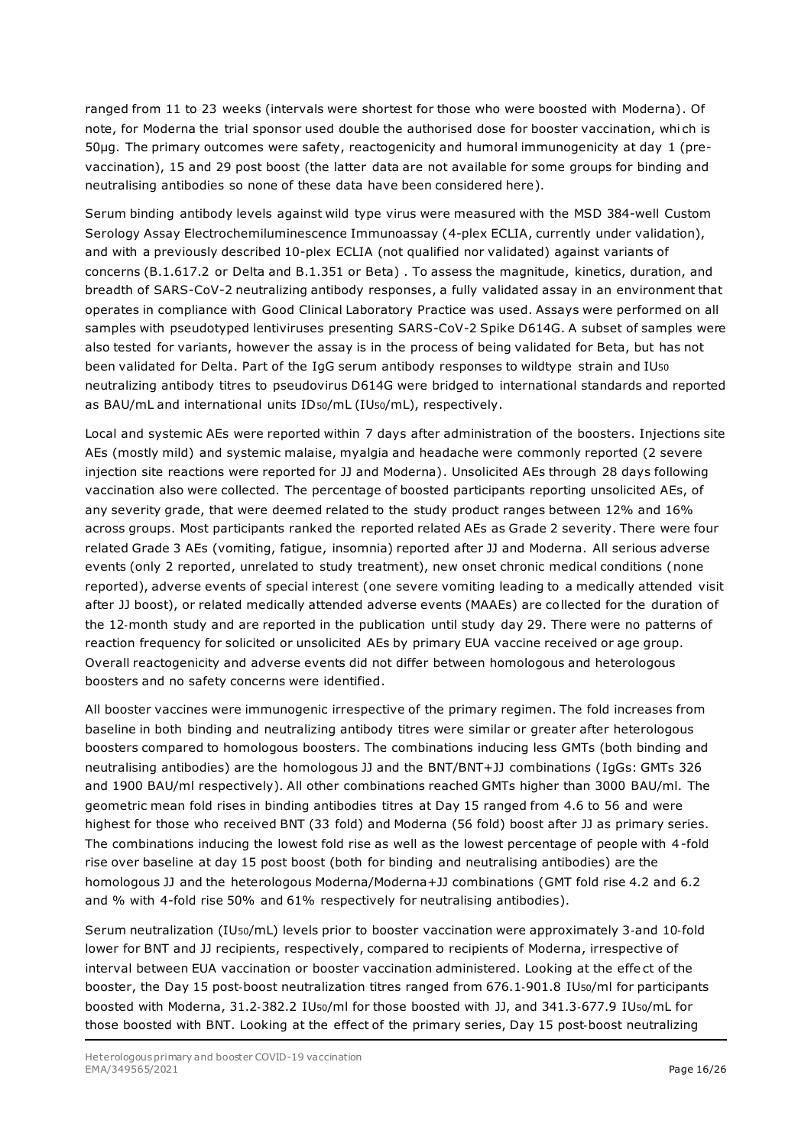ranged from 11 to 23 weeks (intervals were shortest for those who were boosted with Moderna). Of note, for Moderna the trial sponsor used double the authorised dose for booster vaccination, whi ch is 50µg. The primary outcomes were safety, reactogenicity and humoral immunogenicity at day 1 (prevaccination), 15 and 29 post boost (the latter data are not available for some groups for binding and neutralising antibodies so none of these data have been considered here).

Serum binding antibody levels against wild type virus were measured with the MSD 384-well Custom Serology Assay Electrochemiluminescence Immunoassay (4-plex ECLIA, currently under validation), and with a previously described 10-plex ECLIA (not qualified nor validated) against variants of concerns (B.1.617.2 or Delta and B.1.351 or Beta) . To assess the magnitude, kinetics, duration, and breadth of SARS-CoV-2 neutralizing antibody responses, a fully validated assay in an environment that operates in compliance with Good Clinical Laboratory Practice was used. Assays were performed on all samples with pseudotyped lentiviruses presenting SARS-CoV-2 Spike D614G. A subset of samples were also tested for variants, however the assay is in the process of being validated for Beta, but has not been validated for Delta. Part of the IgG serum antibody responses to wildtype strain and IU50 neutralizing antibody titres to pseudovirus D614G were bridged to international standards and reported as BAU/mL and international units ID50/mL (IU50/mL), respectively.

Local and systemic AEs were reported within 7 days after administration of the boosters. Injections site AEs (mostly mild) and systemic malaise, myalgia and headache were commonly reported (2 severe injection site reactions were reported for JJ and Moderna). Unsolicited AEs through 28 days following vaccination also were collected. The percentage of boosted participants reporting unsolicited AEs, of any severity grade, that were deemed related to the study product ranges between 12% and 16% across groups. Most participants ranked the reported related AEs as Grade 2 severity. There were four related Grade 3 AEs (vomiting, fatigue, insomnia) reported after JJ and Moderna. All serious adverse events (only 2 reported, unrelated to study treatment), new onset chronic medical conditions (none reported), adverse events of special interest (one severe vomiting leading to a medically attended visit after JJ boost), or related medically attended adverse events (MAAEs) are collected for the duration of the 12‐month study and are reported in the publication until study day 29. There were no patterns of reaction frequency for solicited or unsolicited AEs by primary EUA vaccine received or age group. Overall reactogenicity and adverse events did not differ between homologous and heterologous boosters and no safety concerns were identified.

All booster vaccines were immunogenic irrespective of the primary regimen. The fold increases from baseline in both binding and neutralizing antibody titres were similar or greater after heterologous boosters compared to homologous boosters. The combinations inducing less GMTs (both binding and neutralising antibodies) are the homologous JJ and the BNT/BNT+JJ combinations ( IgGs: GMTs 326 and 1900 BAU/ml respectively). All other combinations reached GMTs higher than 3000 BAU/ml. The geometric mean fold rises in binding antibodies titres at Day 15 ranged from 4.6 to 56 and were highest for those who received BNT (33 fold) and Moderna (56 fold) boost after JJ as primary series. The combinations inducing the lowest fold rise as well as the lowest percentage of people with 4-fold rise over baseline at day 15 post boost (both for binding and neutralising antibodies) are the homologous JJ and the heterologous Moderna/Moderna+JJ combinations (GMT fold rise 4.2 and 6.2 and % with 4-fold rise 50% and 61% respectively for neutralising antibodies).

Serum neutralization (IU50/mL) levels prior to booster vaccination were approximately 3‐and 10‐fold lower for BNT and JJ recipients, respectively, compared to recipients of Moderna, irrespective of interval between EUA vaccination or booster vaccination administered. Looking at the effe ct of the booster, the Day 15 post‐boost neutralization titres ranged from 676.1‐901.8 IU50/ml for participants boosted with Moderna, 31.2‐382.2 IU50/ml for those boosted with JJ, and 341.3‐677.9 IU50/mL for those boosted with BNT. Looking at the effect of the primary series, Day 15 post-boost neutralizing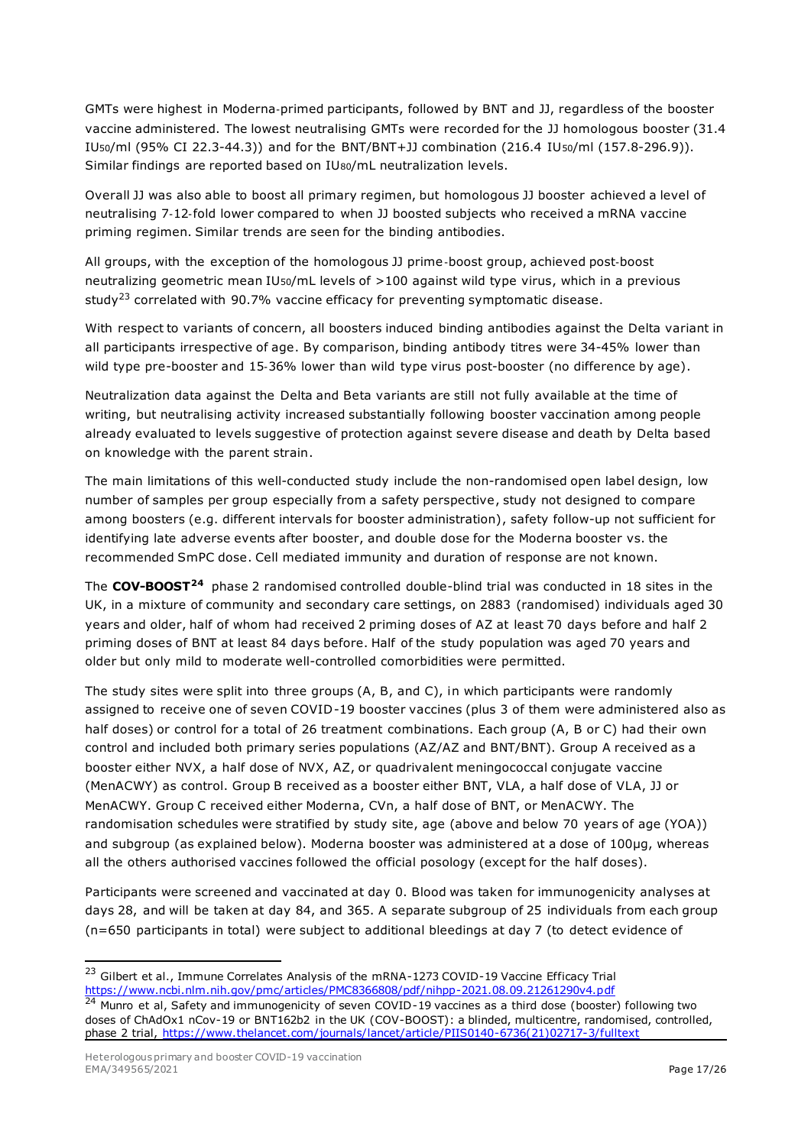GMTs were highest in Moderna‐primed participants, followed by BNT and JJ, regardless of the booster vaccine administered. The lowest neutralising GMTs were recorded for the JJ homologous booster (31.4 IU50/ml (95% CI 22.3-44.3)) and for the BNT/BNT+JJ combination (216.4 IU50/ml (157.8-296.9)). Similar findings are reported based on IU80/mL neutralization levels.

Overall JJ was also able to boost all primary regimen, but homologous JJ booster achieved a level of neutralising 7‐12‐fold lower compared to when JJ boosted subjects who received a mRNA vaccine priming regimen. Similar trends are seen for the binding antibodies.

All groups, with the exception of the homologous JJ prime‐boost group, achieved post‐boost neutralizing geometric mean IU50/mL levels of >100 against wild type virus, which in a previous study<sup>23</sup> correlated with 90.7% vaccine efficacy for preventing symptomatic disease.

With respect to variants of concern, all boosters induced binding antibodies against the Delta variant in all participants irrespective of age. By comparison, binding antibody titres were 34-45% lower than wild type pre-booster and 15‐36% lower than wild type virus post-booster (no difference by age).

Neutralization data against the Delta and Beta variants are still not fully available at the time of writing, but neutralising activity increased substantially following booster vaccination among people already evaluated to levels suggestive of protection against severe disease and death by Delta based on knowledge with the parent strain.

The main limitations of this well-conducted study include the non-randomised open label design, low number of samples per group especially from a safety perspective, study not designed to compare among boosters (e.g. different intervals for booster administration), safety follow-up not sufficient for identifying late adverse events after booster, and double dose for the Moderna booster vs. the recommended SmPC dose. Cell mediated immunity and duration of response are not known.

The **COV-BOOST<sup>24</sup>** phase 2 randomised controlled double-blind trial was conducted in 18 sites in the UK, in a mixture of community and secondary care settings, on 2883 (randomised) individuals aged 30 years and older, half of whom had received 2 priming doses of AZ at least 70 days before and half 2 priming doses of BNT at least 84 days before. Half of the study population was aged 70 years and older but only mild to moderate well-controlled comorbidities were permitted.

The study sites were split into three groups (A, B, and C), in which participants were randomly assigned to receive one of seven COVID-19 booster vaccines (plus 3 of them were administered also as half doses) or control for a total of 26 treatment combinations. Each group (A, B or C) had their own control and included both primary series populations (AZ/AZ and BNT/BNT). Group A received as a booster either NVX, a half dose of NVX, AZ, or quadrivalent meningococcal conjugate vaccine (MenACWY) as control. Group B received as a booster either BNT, VLA, a half dose of VLA, JJ or MenACWY. Group C received either Moderna, CVn, a half dose of BNT, or MenACWY. The randomisation schedules were stratified by study site, age (above and below 70 years of age (YOA)) and subgroup (as explained below). Moderna booster was administered at a dose of 100µg, whereas all the others authorised vaccines followed the official posology (except for the half doses).

Participants were screened and vaccinated at day 0. Blood was taken for immunogenicity analyses at days 28, and will be taken at day 84, and 365. A separate subgroup of 25 individuals from each group (n=650 participants in total) were subject to additional bleedings at day 7 (to detect evidence of

<sup>&</sup>lt;sup>23</sup> Gilbert et al., Immune Correlates Analysis of the mRNA-1273 COVID-19 Vaccine Efficacy Trial <https://www.ncbi.nlm.nih.gov/pmc/articles/PMC8366808/pdf/nihpp-2021.08.09.21261290v4.pdf>

<sup>24</sup> Munro et al, Safety and immunogenicity of seven COVID-19 vaccines as a third dose (booster) following two doses of ChAdOx1 nCov-19 or BNT162b2 in the UK (COV-BOOST): a blinded, multicentre, randomised, controlled, phase 2 trial, [https://www.thelancet.com/journals/lancet/article/PIIS0140-6736\(21\)02717-3/fulltext](https://www.thelancet.com/journals/lancet/article/PIIS0140-6736(21)02717-3/fulltext)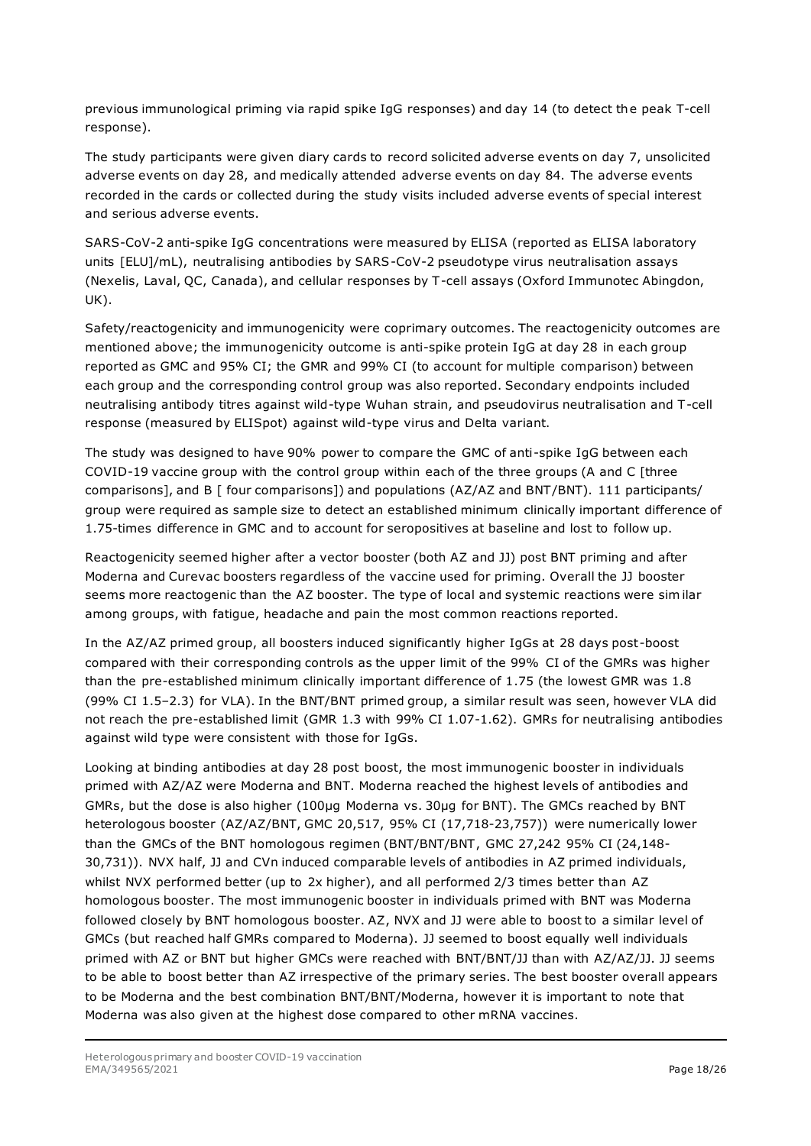previous immunological priming via rapid spike IgG responses) and day 14 (to detect the peak T-cell response).

The study participants were given diary cards to record solicited adverse events on day 7, unsolicited adverse events on day 28, and medically attended adverse events on day 84. The adverse events recorded in the cards or collected during the study visits included adverse events of special interest and serious adverse events.

SARS-CoV-2 anti-spike IgG concentrations were measured by ELISA (reported as ELISA laboratory units [ELU]/mL), neutralising antibodies by SARS-CoV-2 pseudotype virus neutralisation assays (Nexelis, Laval, QC, Canada), and cellular responses by T-cell assays (Oxford Immunotec Abingdon, UK).

Safety/reactogenicity and immunogenicity were coprimary outcomes. The reactogenicity outcomes are mentioned above; the immunogenicity outcome is anti-spike protein IgG at day 28 in each group reported as GMC and 95% CI; the GMR and 99% CI (to account for multiple comparison) between each group and the corresponding control group was also reported. Secondary endpoints included neutralising antibody titres against wild-type Wuhan strain, and pseudovirus neutralisation and T-cell response (measured by ELISpot) against wild-type virus and Delta variant.

The study was designed to have 90% power to compare the GMC of anti-spike IgG between each COVID-19 vaccine group with the control group within each of the three groups (A and C [three comparisons], and B [ four comparisons]) and populations (AZ/AZ and BNT/BNT). 111 participants/ group were required as sample size to detect an established minimum clinically important difference of 1.75-times difference in GMC and to account for seropositives at baseline and lost to follow up.

Reactogenicity seemed higher after a vector booster (both AZ and JJ) post BNT priming and after Moderna and Curevac boosters regardless of the vaccine used for priming. Overall the JJ booster seems more reactogenic than the AZ booster. The type of local and systemic reactions were sim ilar among groups, with fatigue, headache and pain the most common reactions reported.

In the AZ/AZ primed group, all boosters induced significantly higher IgGs at 28 days post-boost compared with their corresponding controls as the upper limit of the 99% CI of the GMRs was higher than the pre-established minimum clinically important difference of 1.75 (the lowest GMR was 1.8 (99% CI 1.5–2.3) for VLA). In the BNT/BNT primed group, a similar result was seen, however VLA did not reach the pre-established limit (GMR 1.3 with 99% CI 1.07-1.62). GMRs for neutralising antibodies against wild type were consistent with those for IgGs.

Looking at binding antibodies at day 28 post boost, the most immunogenic booster in individuals primed with AZ/AZ were Moderna and BNT. Moderna reached the highest levels of antibodies and GMRs, but the dose is also higher (100µg Moderna vs. 30µg for BNT). The GMCs reached by BNT heterologous booster (AZ/AZ/BNT, GMC 20,517, 95% CI (17,718-23,757)) were numerically lower than the GMCs of the BNT homologous regimen (BNT/BNT/BNT, GMC 27,242 95% CI (24,148- 30,731)). NVX half, JJ and CVn induced comparable levels of antibodies in AZ primed individuals, whilst NVX performed better (up to 2x higher), and all performed 2/3 times better than AZ homologous booster. The most immunogenic booster in individuals primed with BNT was Moderna followed closely by BNT homologous booster. AZ, NVX and JJ were able to boost to a similar level of GMCs (but reached half GMRs compared to Moderna). JJ seemed to boost equally well individuals primed with AZ or BNT but higher GMCs were reached with BNT/BNT/JJ than with AZ/AZ/JJ. JJ seems to be able to boost better than AZ irrespective of the primary series. The best booster overall appears to be Moderna and the best combination BNT/BNT/Moderna, however it is important to note that Moderna was also given at the highest dose compared to other mRNA vaccines.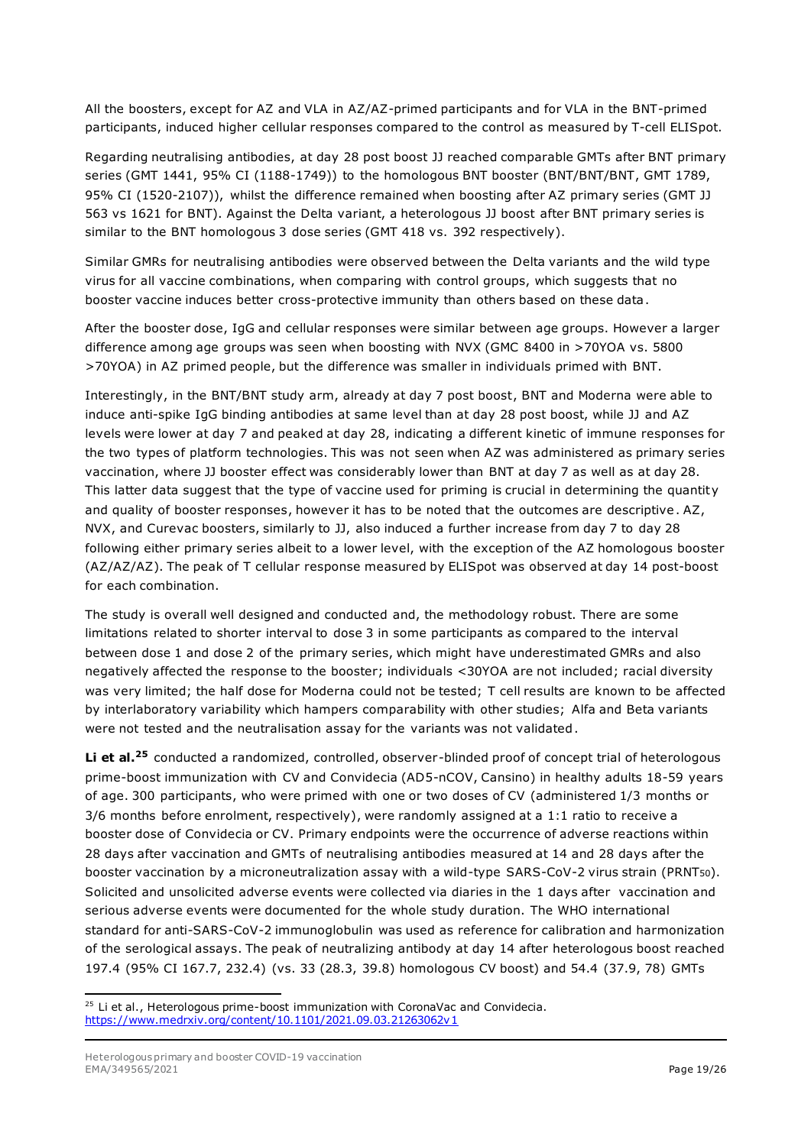All the boosters, except for AZ and VLA in AZ/AZ-primed participants and for VLA in the BNT-primed participants, induced higher cellular responses compared to the control as measured by T-cell ELISpot.

Regarding neutralising antibodies, at day 28 post boost JJ reached comparable GMTs after BNT primary series (GMT 1441, 95% CI (1188-1749)) to the homologous BNT booster (BNT/BNT/BNT, GMT 1789, 95% CI (1520-2107)), whilst the difference remained when boosting after AZ primary series (GMT JJ 563 vs 1621 for BNT). Against the Delta variant, a heterologous JJ boost after BNT primary series is similar to the BNT homologous 3 dose series (GMT 418 vs. 392 respectively).

Similar GMRs for neutralising antibodies were observed between the Delta variants and the wild type virus for all vaccine combinations, when comparing with control groups, which suggests that no booster vaccine induces better cross-protective immunity than others based on these data.

After the booster dose, IgG and cellular responses were similar between age groups. However a larger difference among age groups was seen when boosting with NVX (GMC 8400 in >70YOA vs. 5800 >70YOA) in AZ primed people, but the difference was smaller in individuals primed with BNT.

Interestingly, in the BNT/BNT study arm, already at day 7 post boost, BNT and Moderna were able to induce anti-spike IgG binding antibodies at same level than at day 28 post boost, while JJ and AZ levels were lower at day 7 and peaked at day 28, indicating a different kinetic of immune responses for the two types of platform technologies. This was not seen when AZ was administered as primary series vaccination, where JJ booster effect was considerably lower than BNT at day 7 as well as at day 28. This latter data suggest that the type of vaccine used for priming is crucial in determining the quantity and quality of booster responses, however it has to be noted that the outcomes are descriptive. AZ, NVX, and Curevac boosters, similarly to JJ, also induced a further increase from day 7 to day 28 following either primary series albeit to a lower level, with the exception of the AZ homologous booster (AZ/AZ/AZ). The peak of T cellular response measured by ELISpot was observed at day 14 post-boost for each combination.

The study is overall well designed and conducted and, the methodology robust. There are some limitations related to shorter interval to dose 3 in some participants as compared to the interval between dose 1 and dose 2 of the primary series, which might have underestimated GMRs and also negatively affected the response to the booster; individuals <30YOA are not included; racial diversity was very limited; the half dose for Moderna could not be tested; T cell results are known to be affected by interlaboratory variability which hampers comparability with other studies; Alfa and Beta variants were not tested and the neutralisation assay for the variants was not validated.

**Li et al.<sup>25</sup>** conducted a randomized, controlled, observer-blinded proof of concept trial of heterologous prime-boost immunization with CV and Convidecia (AD5-nCOV, Cansino) in healthy adults 18-59 years of age. 300 participants, who were primed with one or two doses of CV (administered 1/3 months or 3/6 months before enrolment, respectively), were randomly assigned at a 1:1 ratio to receive a booster dose of Convidecia or CV. Primary endpoints were the occurrence of adverse reactions within 28 days after vaccination and GMTs of neutralising antibodies measured at 14 and 28 days after the booster vaccination by a microneutralization assay with a wild-type SARS-CoV-2 virus strain (PRNT50). Solicited and unsolicited adverse events were collected via diaries in the 1 days after vaccination and serious adverse events were documented for the whole study duration. The WHO international standard for anti-SARS-CoV-2 immunoglobulin was used as reference for calibration and harmonization of the serological assays. The peak of neutralizing antibody at day 14 after heterologous boost reached 197.4 (95% CI 167.7, 232.4) (vs. 33 (28.3, 39.8) homologous CV boost) and 54.4 (37.9, 78) GMTs

 $25$  Li et al., Heterologous prime-boost immunization with CoronaVac and Convidecia. <https://www.medrxiv.org/content/10.1101/2021.09.03.21263062v1>

Heterologous primary and booster COVID-19 vaccination EMA/349565/2021 **Page 19/26**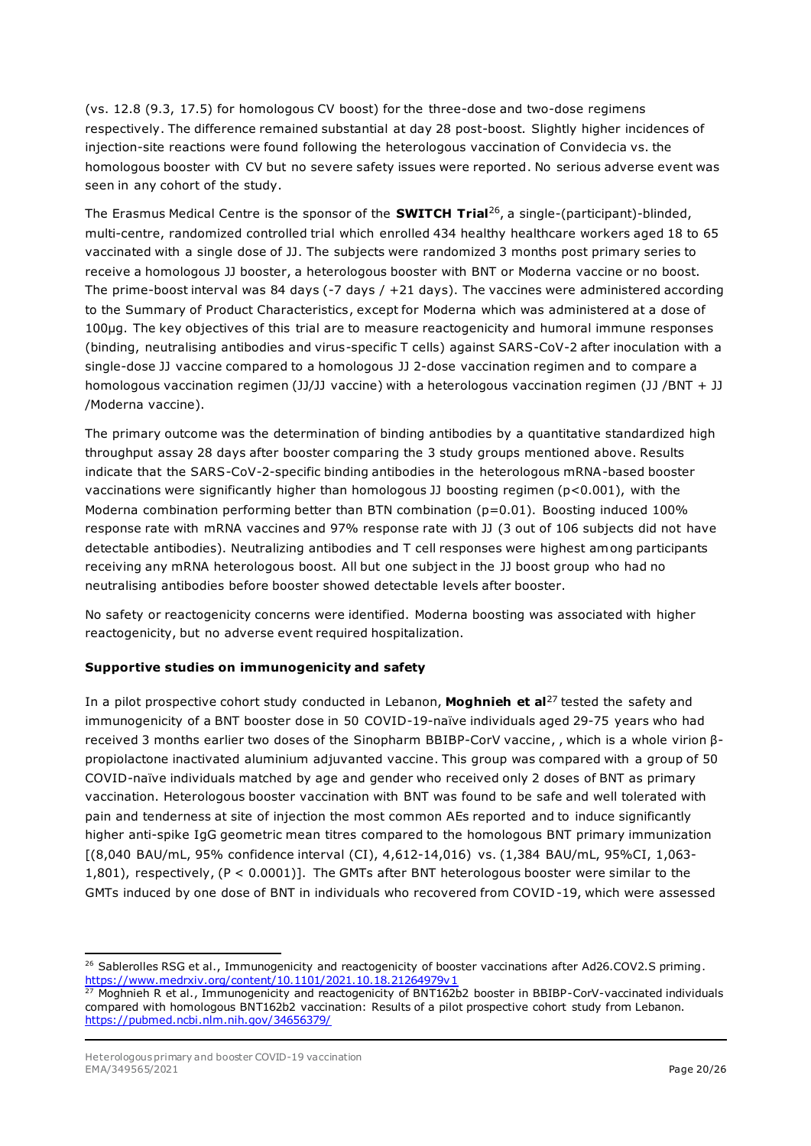(vs. 12.8 (9.3, 17.5) for homologous CV boost) for the three-dose and two-dose regimens respectively. The difference remained substantial at day 28 post-boost. Slightly higher incidences of injection-site reactions were found following the heterologous vaccination of Convidecia vs. the homologous booster with CV but no severe safety issues were reported. No serious adverse event was seen in any cohort of the study.

The Erasmus Medical Centre is the sponsor of the **SWITCH Trial**<sup>26</sup> , a single-(participant)-blinded, multi-centre, randomized controlled trial which enrolled 434 healthy healthcare workers aged 18 to 65 vaccinated with a single dose of JJ. The subjects were randomized 3 months post primary series to receive a homologous JJ booster, a heterologous booster with BNT or Moderna vaccine or no boost. The prime-boost interval was 84 days (-7 days  $/ +21$  days). The vaccines were administered according to the Summary of Product Characteristics, except for Moderna which was administered at a dose of 100µg. The key objectives of this trial are to measure reactogenicity and humoral immune responses (binding, neutralising antibodies and virus-specific T cells) against SARS-CoV-2 after inoculation with a single-dose JJ vaccine compared to a homologous JJ 2-dose vaccination regimen and to compare a homologous vaccination regimen (JJ/JJ vaccine) with a heterologous vaccination regimen (JJ /BNT + JJ /Moderna vaccine).

The primary outcome was the determination of binding antibodies by a quantitative standardized high throughput assay 28 days after booster comparing the 3 study groups mentioned above. Results indicate that the SARS-CoV-2-specific binding antibodies in the heterologous mRNA-based booster vaccinations were significantly higher than homologous JJ boosting regimen (p<0.001), with the Moderna combination performing better than BTN combination ( $p=0.01$ ). Boosting induced 100% response rate with mRNA vaccines and 97% response rate with JJ (3 out of 106 subjects did not have detectable antibodies). Neutralizing antibodies and T cell responses were highest among participants receiving any mRNA heterologous boost. All but one subject in the JJ boost group who had no neutralising antibodies before booster showed detectable levels after booster.

No safety or reactogenicity concerns were identified. Moderna boosting was associated with higher reactogenicity, but no adverse event required hospitalization.

#### **Supportive studies on immunogenicity and safety**

In a pilot prospective cohort study conducted in Lebanon, **Moghnieh et al**<sup>27</sup> tested the safety and immunogenicity of a BNT booster dose in 50 COVID-19-naïve individuals aged 29-75 years who had received 3 months earlier two doses of the Sinopharm BBIBP-CorV vaccine, , which is a whole virion βpropiolactone inactivated aluminium adjuvanted vaccine. This group was compared with a group of 50 COVID-naïve individuals matched by age and gender who received only 2 doses of BNT as primary vaccination. Heterologous booster vaccination with BNT was found to be safe and well tolerated with pain and tenderness at site of injection the most common AEs reported and to induce significantly higher anti-spike IgG geometric mean titres compared to the homologous BNT primary immunization [(8,040 BAU/mL, 95% confidence interval (CI), 4,612-14,016) vs. (1,384 BAU/mL, 95%CI, 1,063- 1,801), respectively, (P < 0.0001)]. The GMTs after BNT heterologous booster were similar to the GMTs induced by one dose of BNT in individuals who recovered from COVID -19, which were assessed

<sup>&</sup>lt;sup>26</sup> Sablerolles RSG et al., Immunogenicity and reactogenicity of booster vaccinations after Ad26.COV2.S priming. <https://www.medrxiv.org/content/10.1101/2021.10.18.21264979v1><br>27 Mogbnieb B. of al. Immunosasiair (10.1101/2021.10.18.21264979v1

<sup>27</sup> Moghnieh R et al., Immunogenicity and reactogenicity of BNT162b2 booster in BBIBP-CorV-vaccinated individuals compared with homologous BNT162b2 vaccination: Results of a pilot prospective cohort study from Lebanon. <https://pubmed.ncbi.nlm.nih.gov/34656379/>

Heterologous primary and booster COVID-19 vaccination EMA/349565/2021 **Page 20/26**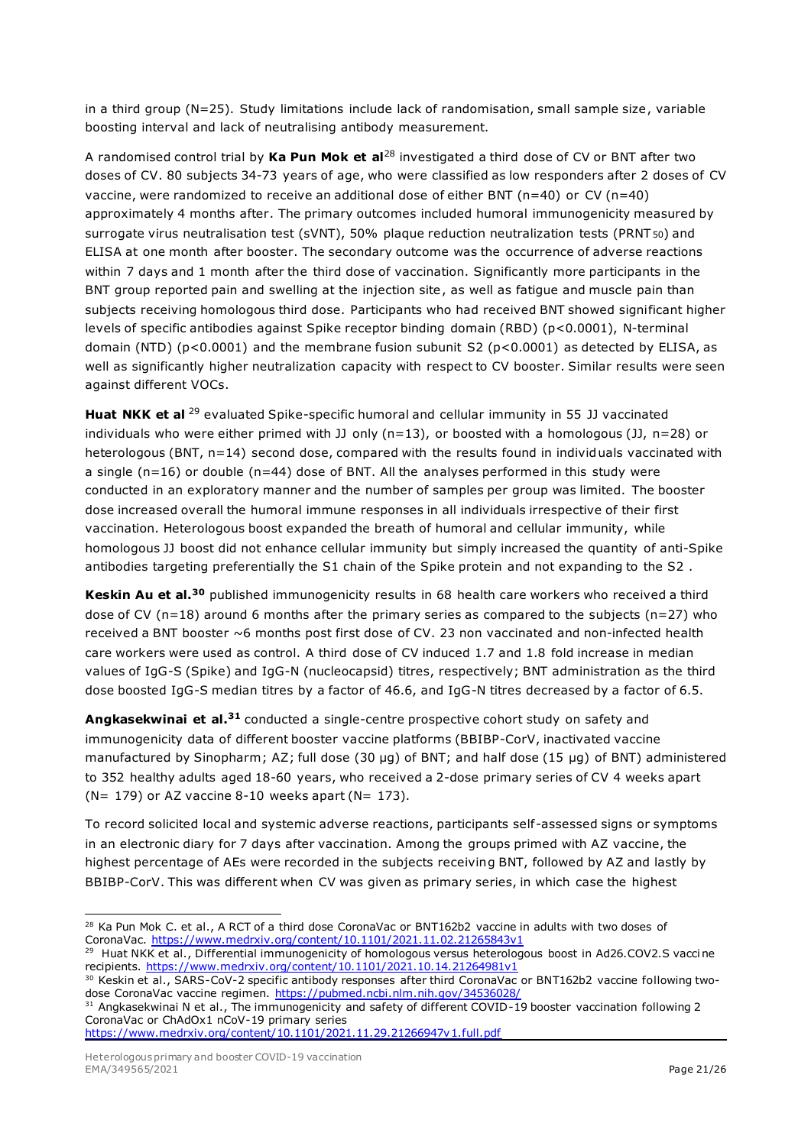in a third group (N=25). Study limitations include lack of randomisation, small sample size, variable boosting interval and lack of neutralising antibody measurement.

A randomised control trial by **Ka Pun Mok et al**<sup>28</sup> investigated a third dose of CV or BNT after two doses of CV. 80 subjects 34-73 years of age, who were classified as low responders after 2 doses of CV vaccine, were randomized to receive an additional dose of either BNT ( $n=40$ ) or CV ( $n=40$ ) approximately 4 months after. The primary outcomes included humoral immunogenicity measured by surrogate virus neutralisation test (sVNT), 50% plaque reduction neutralization tests (PRNT 50) and ELISA at one month after booster. The secondary outcome was the occurrence of adverse reactions within 7 days and 1 month after the third dose of vaccination. Significantly more participants in the BNT group reported pain and swelling at the injection site, as well as fatigue and muscle pain than subjects receiving homologous third dose. Participants who had received BNT showed significant higher levels of specific antibodies against Spike receptor binding domain (RBD) (p<0.0001), N-terminal domain (NTD) ( $p$ <0.0001) and the membrane fusion subunit S2 ( $p$ <0.0001) as detected by ELISA, as well as significantly higher neutralization capacity with respect to CV booster. Similar results were seen against different VOCs.

Huat NKK et al <sup>29</sup> evaluated Spike-specific humoral and cellular immunity in 55 JJ vaccinated individuals who were either primed with JJ only ( $n=13$ ), or boosted with a homologous (JJ,  $n=28$ ) or heterologous (BNT, n=14) second dose, compared with the results found in individuals vaccinated with a single ( $n=16$ ) or double ( $n=44$ ) dose of BNT. All the analyses performed in this study were conducted in an exploratory manner and the number of samples per group was limited. The booster dose increased overall the humoral immune responses in all individuals irrespective of their first vaccination. Heterologous boost expanded the breath of humoral and cellular immunity, while homologous JJ boost did not enhance cellular immunity but simply increased the quantity of anti-Spike antibodies targeting preferentially the S1 chain of the Spike protein and not expanding to the S2 .

**Keskin Au et al.<sup>30</sup>** published immunogenicity results in 68 health care workers who received a third dose of CV ( $n=18$ ) around 6 months after the primary series as compared to the subjects ( $n=27$ ) who received a BNT booster ~6 months post first dose of CV. 23 non vaccinated and non-infected health care workers were used as control. A third dose of CV induced 1.7 and 1.8 fold increase in median values of IgG-S (Spike) and IgG-N (nucleocapsid) titres, respectively; BNT administration as the third dose boosted IgG-S median titres by a factor of 46.6, and IgG-N titres decreased by a factor of 6.5.

**Angkasekwinai et al.<sup>31</sup>** conducted a single-centre prospective cohort study on safety and immunogenicity data of different booster vaccine platforms (BBIBP-CorV, inactivated vaccine manufactured by Sinopharm; AZ; full dose (30 µg) of BNT; and half dose (15 µg) of BNT) administered to 352 healthy adults aged 18-60 years, who received a 2-dose primary series of CV 4 weeks apart ( $N= 179$ ) or AZ vaccine 8-10 weeks apart ( $N= 173$ ).

To record solicited local and systemic adverse reactions, participants self-assessed signs or symptoms in an electronic diary for 7 days after vaccination. Among the groups primed with AZ vaccine, the highest percentage of AEs were recorded in the subjects receiving BNT, followed by AZ and lastly by BBIBP-CorV. This was different when CV was given as primary series, in which case the highest

<https://www.medrxiv.org/content/10.1101/2021.11.29.21266947v1.full.pdf>

<sup>&</sup>lt;sup>28</sup> Ka Pun Mok C. et al., A RCT of a third dose CoronaVac or BNT162b2 vaccine in adults with two doses of CoronaVac.<https://www.medrxiv.org/content/10.1101/2021.11.02.21265843v1>

<sup>&</sup>lt;sup>29</sup> Huat NKK et al., Differential immunogenicity of homologous versus heterologous boost in Ad26.COV2.S vaccine recipients.<https://www.medrxiv.org/content/10.1101/2021.10.14.21264981v1>

<sup>&</sup>lt;sup>30</sup> Keskin et al., SARS-CoV-2 specific antibody responses after third CoronaVac or BNT162b2 vaccine following twodose CoronaVac vaccine regimen.<https://pubmed.ncbi.nlm.nih.gov/34536028/>

<sup>&</sup>lt;sup>31</sup> Angkasekwinai N et al., The immunogenicity and safety of different COVID-19 booster vaccination following 2 CoronaVac or ChAdOx1 nCoV-19 primary series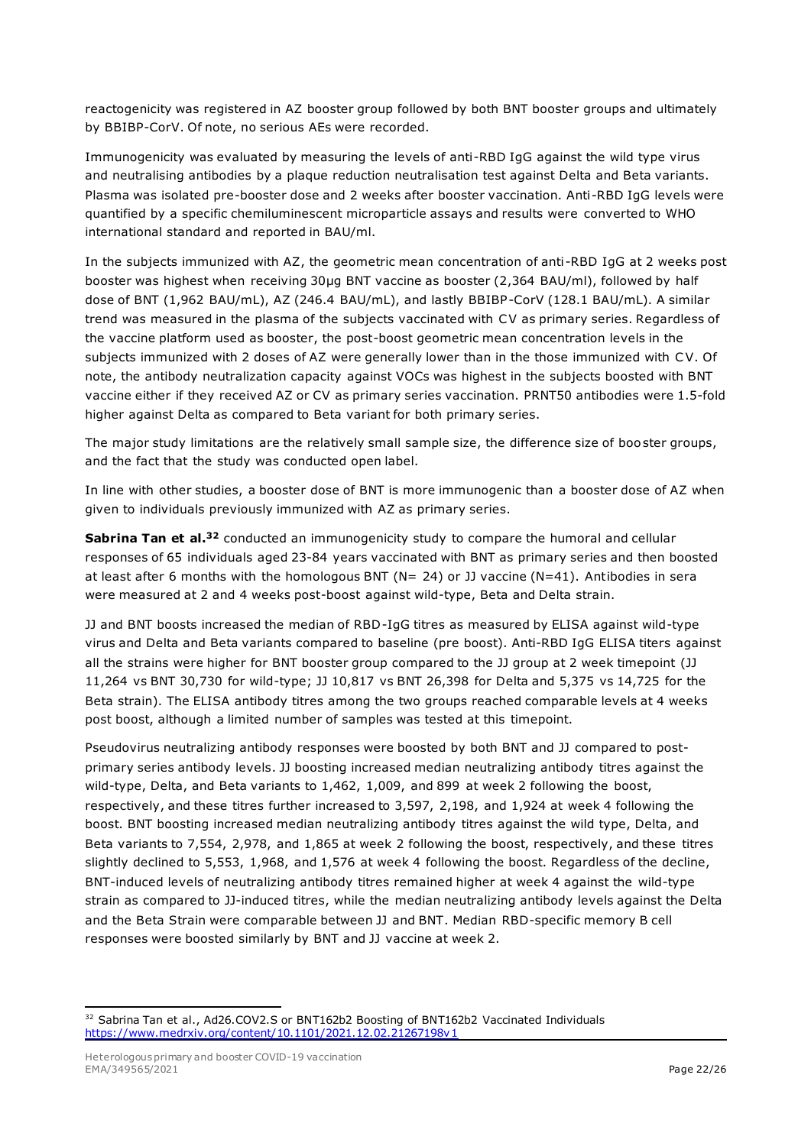reactogenicity was registered in AZ booster group followed by both BNT booster groups and ultimately by BBIBP-CorV. Of note, no serious AEs were recorded.

Immunogenicity was evaluated by measuring the levels of anti-RBD IgG against the wild type virus and neutralising antibodies by a plaque reduction neutralisation test against Delta and Beta variants. Plasma was isolated pre-booster dose and 2 weeks after booster vaccination. Anti-RBD IgG levels were quantified by a specific chemiluminescent microparticle assays and results were converted to WHO international standard and reported in BAU/ml.

In the subjects immunized with AZ, the geometric mean concentration of anti-RBD IgG at 2 weeks post booster was highest when receiving 30µg BNT vaccine as booster (2,364 BAU/ml), followed by half dose of BNT (1,962 BAU/mL), AZ (246.4 BAU/mL), and lastly BBIBP-CorV (128.1 BAU/mL). A similar trend was measured in the plasma of the subjects vaccinated with CV as primary series. Regardless of the vaccine platform used as booster, the post-boost geometric mean concentration levels in the subjects immunized with 2 doses of AZ were generally lower than in the those immunized with CV. Of note, the antibody neutralization capacity against VOCs was highest in the subjects boosted with BNT vaccine either if they received AZ or CV as primary series vaccination. PRNT50 antibodies were 1.5-fold higher against Delta as compared to Beta variant for both primary series.

The major study limitations are the relatively small sample size, the difference size of boo ster groups, and the fact that the study was conducted open label.

In line with other studies, a booster dose of BNT is more immunogenic than a booster dose of AZ when given to individuals previously immunized with AZ as primary series.

**Sabrina Tan et al.<sup>32</sup>** conducted an immunogenicity study to compare the humoral and cellular responses of 65 individuals aged 23-84 years vaccinated with BNT as primary series and then boosted at least after 6 months with the homologous BNT (N= 24) or JJ vaccine (N=41). Antibodies in sera were measured at 2 and 4 weeks post-boost against wild-type, Beta and Delta strain.

JJ and BNT boosts increased the median of RBD-IgG titres as measured by ELISA against wild-type virus and Delta and Beta variants compared to baseline (pre boost). Anti-RBD IgG ELISA titers against all the strains were higher for BNT booster group compared to the JJ group at 2 week timepoint (JJ 11,264 vs BNT 30,730 for wild-type; JJ 10,817 vs BNT 26,398 for Delta and 5,375 vs 14,725 for the Beta strain). The ELISA antibody titres among the two groups reached comparable levels at 4 weeks post boost, although a limited number of samples was tested at this timepoint.

Pseudovirus neutralizing antibody responses were boosted by both BNT and JJ compared to postprimary series antibody levels. JJ boosting increased median neutralizing antibody titres against the wild-type, Delta, and Beta variants to 1,462, 1,009, and 899 at week 2 following the boost, respectively, and these titres further increased to 3,597, 2,198, and 1,924 at week 4 following the boost. BNT boosting increased median neutralizing antibody titres against the wild type, Delta, and Beta variants to 7,554, 2,978, and 1,865 at week 2 following the boost, respectively, and these titres slightly declined to 5,553, 1,968, and 1,576 at week 4 following the boost. Regardless of the decline, BNT-induced levels of neutralizing antibody titres remained higher at week 4 against the wild-type strain as compared to JJ-induced titres, while the median neutralizing antibody levels against the Delta and the Beta Strain were comparable between JJ and BNT. Median RBD-specific memory B cell responses were boosted similarly by BNT and JJ vaccine at week 2.

<sup>&</sup>lt;sup>32</sup> Sabrina Tan et al., Ad26.COV2.S or BNT162b2 Boosting of BNT162b2 Vaccinated Individuals <https://www.medrxiv.org/content/10.1101/2021.12.02.21267198v1>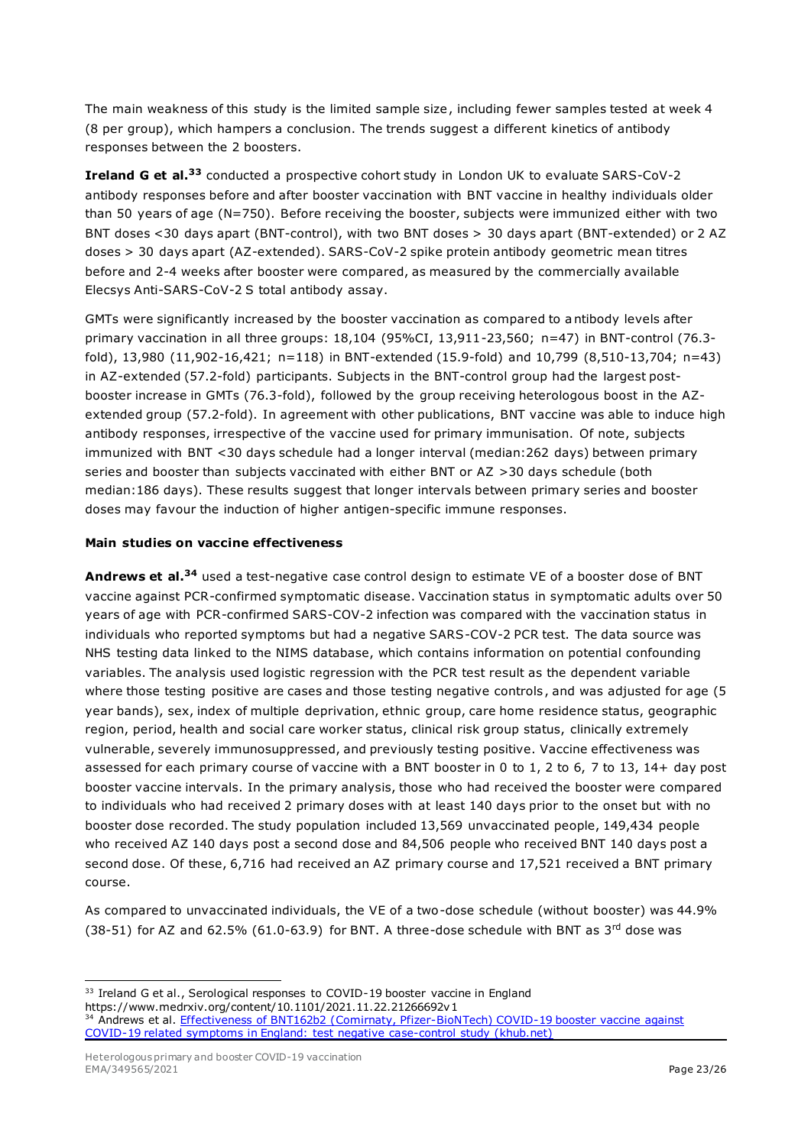The main weakness of this study is the limited sample size, including fewer samples tested at week 4 (8 per group), which hampers a conclusion. The trends suggest a different kinetics of antibody responses between the 2 boosters.

**Ireland G et al.<sup>33</sup>** conducted a prospective cohort study in London UK to evaluate SARS-CoV-2 antibody responses before and after booster vaccination with BNT vaccine in healthy individuals older than 50 years of age (N=750). Before receiving the booster, subjects were immunized either with two BNT doses <30 days apart (BNT-control), with two BNT doses > 30 days apart (BNT-extended) or 2 AZ doses > 30 days apart (AZ-extended). SARS-CoV-2 spike protein antibody geometric mean titres before and 2-4 weeks after booster were compared, as measured by the commercially available Elecsys Anti-SARS-CoV-2 S total antibody assay.

GMTs were significantly increased by the booster vaccination as compared to antibody levels after primary vaccination in all three groups: 18,104 (95%CI, 13,911-23,560; n=47) in BNT-control (76.3 fold), 13,980 (11,902-16,421; n=118) in BNT-extended (15.9-fold) and 10,799 (8,510-13,704; n=43) in AZ-extended (57.2-fold) participants. Subjects in the BNT-control group had the largest postbooster increase in GMTs (76.3-fold), followed by the group receiving heterologous boost in the AZextended group (57.2-fold). In agreement with other publications, BNT vaccine was able to induce high antibody responses, irrespective of the vaccine used for primary immunisation. Of note, subjects immunized with BNT <30 days schedule had a longer interval (median:262 days) between primary series and booster than subjects vaccinated with either BNT or AZ >30 days schedule (both median:186 days). These results suggest that longer intervals between primary series and booster doses may favour the induction of higher antigen-specific immune responses.

#### **Main studies on vaccine effectiveness**

**Andrews et al.<sup>34</sup>** used a test-negative case control design to estimate VE of a booster dose of BNT vaccine against PCR-confirmed symptomatic disease. Vaccination status in symptomatic adults over 50 years of age with PCR-confirmed SARS-COV-2 infection was compared with the vaccination status in individuals who reported symptoms but had a negative SARS-COV-2 PCR test. The data source was NHS testing data linked to the NIMS database, which contains information on potential confounding variables. The analysis used logistic regression with the PCR test result as the dependent variable where those testing positive are cases and those testing negative controls, and was adjusted for age (5 year bands), sex, index of multiple deprivation, ethnic group, care home residence status, geographic region, period, health and social care worker status, clinical risk group status, clinically extremely vulnerable, severely immunosuppressed, and previously testing positive. Vaccine effectiveness was assessed for each primary course of vaccine with a BNT booster in 0 to 1, 2 to 6, 7 to 13, 14+ day post booster vaccine intervals. In the primary analysis, those who had received the booster were compared to individuals who had received 2 primary doses with at least 140 days prior to the onset but with no booster dose recorded. The study population included 13,569 unvaccinated people, 149,434 people who received AZ 140 days post a second dose and 84,506 people who received BNT 140 days post a second dose. Of these, 6,716 had received an AZ primary course and 17,521 received a BNT primary course.

As compared to unvaccinated individuals, the VE of a two-dose schedule (without booster) was 44.9% (38-51) for AZ and 62.5% (61.0-63.9) for BNT. A three-dose schedule with BNT as  $3<sup>rd</sup>$  dose was

<sup>33</sup> Ireland G et al., Serological responses to COVID-19 booster vaccine in England https://www.medrxiv.org/content/10.1101/2021.11.22.21266692v1

<sup>&</sup>lt;sup>34</sup> Andrews et al. Effectiveness of BNT162b2 (Comirnaty, Pfizer-BioNTech) COVID-19 booster vaccine against [COVID-19 related symptoms in England: test negative case-control study \(khub.net\)](https://khub.net/documents/135939561/390853656/Effectiveness+of+BNT162b2+%28Comirnaty%2C+Pfizer-BioNTech%29+COVID-19+booster+vaccine+against+covid-19+related+symptoms+in+England.docx/a366af4e-9c7f-ce86-bc58-1cb3b88e3378)

Heterologous primary and booster COVID-19 vaccination EMA/349565/2021 **Page 23/26**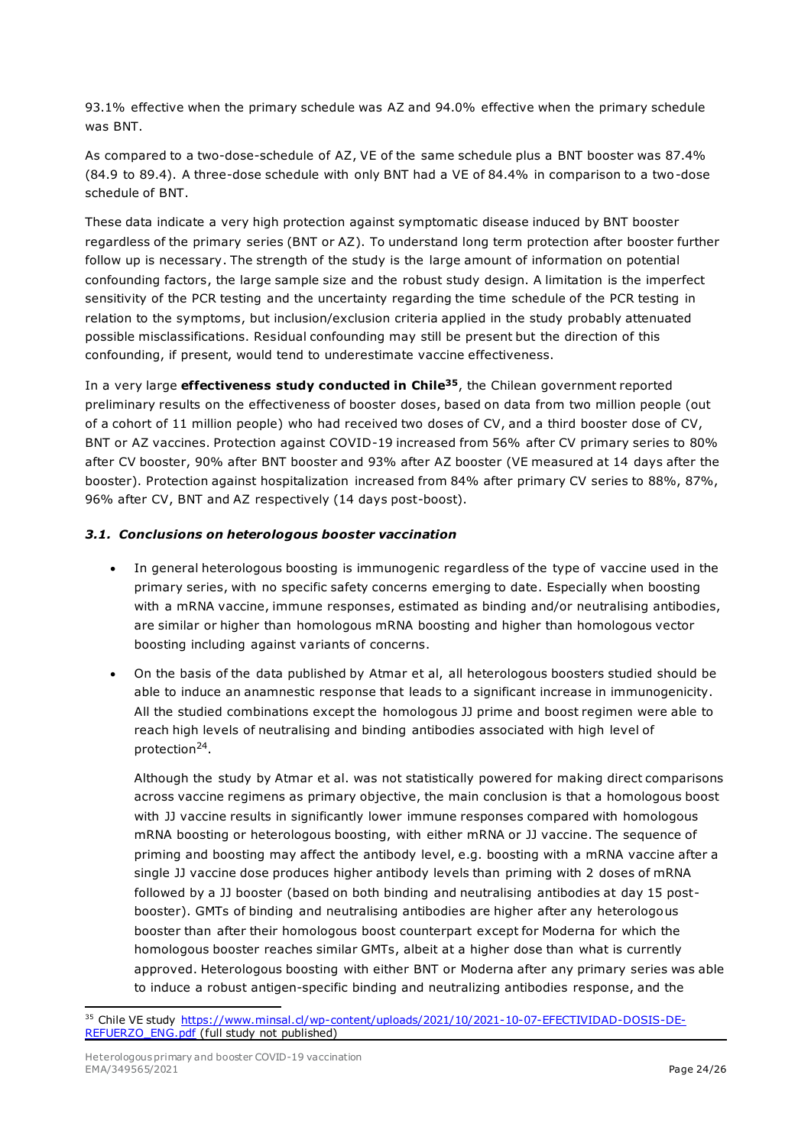93.1% effective when the primary schedule was AZ and 94.0% effective when the primary schedule was BNT.

As compared to a two-dose-schedule of AZ, VE of the same schedule plus a BNT booster was 87.4% (84.9 to 89.4). A three-dose schedule with only BNT had a VE of 84.4% in comparison to a two-dose schedule of BNT.

These data indicate a very high protection against symptomatic disease induced by BNT booster regardless of the primary series (BNT or AZ). To understand long term protection after booster further follow up is necessary. The strength of the study is the large amount of information on potential confounding factors, the large sample size and the robust study design. A limitation is the imperfect sensitivity of the PCR testing and the uncertainty regarding the time schedule of the PCR testing in relation to the symptoms, but inclusion/exclusion criteria applied in the study probably attenuated possible misclassifications. Residual confounding may still be present but the direction of this confounding, if present, would tend to underestimate vaccine effectiveness.

In a very large **effectiveness study conducted in Chile35**, the Chilean government reported preliminary results on the effectiveness of booster doses, based on data from two million people (out of a cohort of 11 million people) who had received two doses of CV, and a third booster dose of CV, BNT or AZ vaccines. Protection against COVID-19 increased from 56% after CV primary series to 80% after CV booster, 90% after BNT booster and 93% after AZ booster (VE measured at 14 days after the booster). Protection against hospitalization increased from 84% after primary CV series to 88%, 87%, 96% after CV, BNT and AZ respectively (14 days post-boost).

#### *3.1. Conclusions on heterologous booster vaccination*

- In general heterologous boosting is immunogenic regardless of the type of vaccine used in the primary series, with no specific safety concerns emerging to date. Especially when boosting with a mRNA vaccine, immune responses, estimated as binding and/or neutralising antibodies, are similar or higher than homologous mRNA boosting and higher than homologous vector boosting including against variants of concerns.
- On the basis of the data published by Atmar et al, all heterologous boosters studied should be able to induce an anamnestic response that leads to a significant increase in immunogenicity. All the studied combinations except the homologous JJ prime and boost regimen were able to reach high levels of neutralising and binding antibodies associated with high level of protection<sup>24</sup>.

Although the study by Atmar et al. was not statistically powered for making direct comparisons across vaccine regimens as primary objective, the main conclusion is that a homologous boost with JJ vaccine results in significantly lower immune responses compared with homologous mRNA boosting or heterologous boosting, with either mRNA or JJ vaccine. The sequence of priming and boosting may affect the antibody level, e.g. boosting with a mRNA vaccine after a single JJ vaccine dose produces higher antibody levels than priming with 2 doses of mRNA followed by a JJ booster (based on both binding and neutralising antibodies at day 15 postbooster). GMTs of binding and neutralising antibodies are higher after any heterologous booster than after their homologous boost counterpart except for Moderna for which the homologous booster reaches similar GMTs, albeit at a higher dose than what is currently approved. Heterologous boosting with either BNT or Moderna after any primary series was able to induce a robust antigen-specific binding and neutralizing antibodies response, and the

<sup>&</sup>lt;sup>35</sup> Chile VE study [https://www.minsal.cl/wp-content/uploads/2021/10/2021-10-07-EFECTIVIDAD-DOSIS-DE-](https://www.minsal.cl/wp-content/uploads/2021/10/2021-10-07-EFECTIVIDAD-DOSIS-DE-REFUERZO_ENG.pdf)[REFUERZO\\_ENG.pdf](https://www.minsal.cl/wp-content/uploads/2021/10/2021-10-07-EFECTIVIDAD-DOSIS-DE-REFUERZO_ENG.pdf) (full study not published)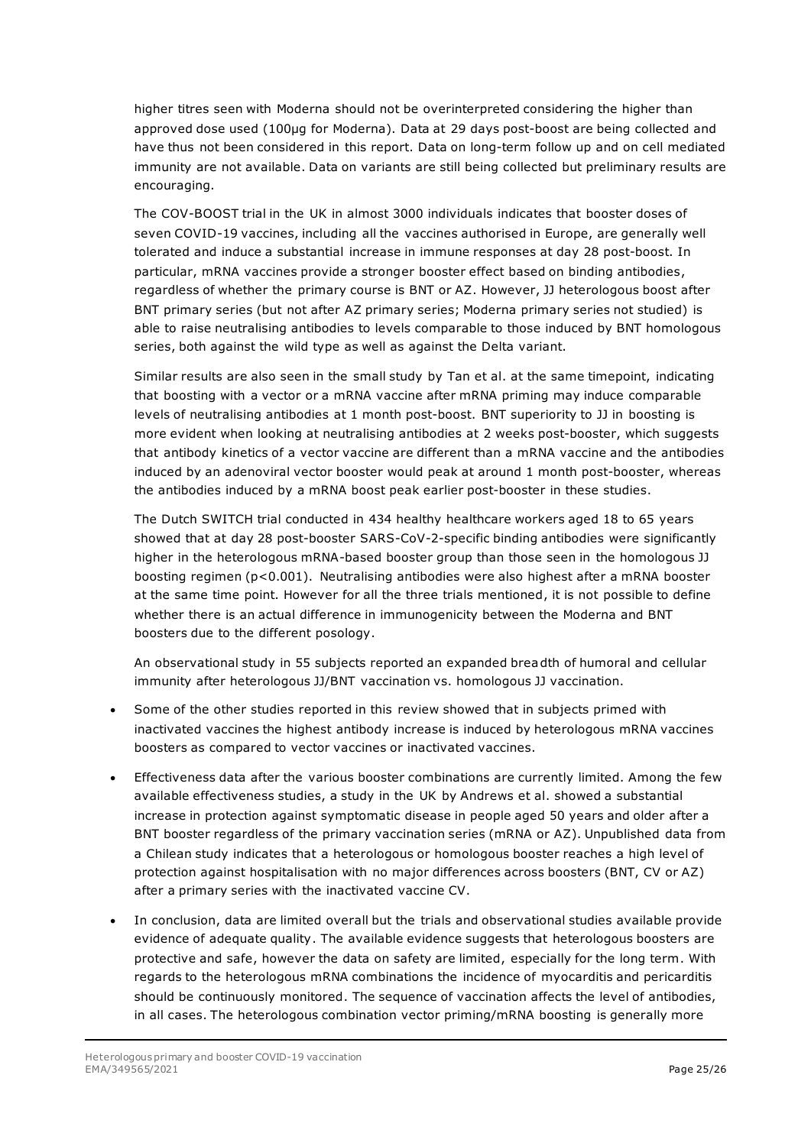higher titres seen with Moderna should not be overinterpreted considering the higher than approved dose used (100µg for Moderna). Data at 29 days post-boost are being collected and have thus not been considered in this report. Data on long-term follow up and on cell mediated immunity are not available. Data on variants are still being collected but preliminary results are encouraging.

The COV-BOOST trial in the UK in almost 3000 individuals indicates that booster doses of seven COVID-19 vaccines, including all the vaccines authorised in Europe, are generally well tolerated and induce a substantial increase in immune responses at day 28 post-boost. In particular, mRNA vaccines provide a stronger booster effect based on binding antibodies, regardless of whether the primary course is BNT or AZ. However, JJ heterologous boost after BNT primary series (but not after AZ primary series; Moderna primary series not studied) is able to raise neutralising antibodies to levels comparable to those induced by BNT homologous series, both against the wild type as well as against the Delta variant.

Similar results are also seen in the small study by Tan et al. at the same timepoint, indicating that boosting with a vector or a mRNA vaccine after mRNA priming may induce comparable levels of neutralising antibodies at 1 month post-boost. BNT superiority to JJ in boosting is more evident when looking at neutralising antibodies at 2 weeks post-booster, which suggests that antibody kinetics of a vector vaccine are different than a mRNA vaccine and the antibodies induced by an adenoviral vector booster would peak at around 1 month post-booster, whereas the antibodies induced by a mRNA boost peak earlier post-booster in these studies.

The Dutch SWITCH trial conducted in 434 healthy healthcare workers aged 18 to 65 years showed that at day 28 post-booster SARS-CoV-2-specific binding antibodies were significantly higher in the heterologous mRNA-based booster group than those seen in the homologous JJ boosting regimen (p<0.001). Neutralising antibodies were also highest after a mRNA booster at the same time point. However for all the three trials mentioned, it is not possible to define whether there is an actual difference in immunogenicity between the Moderna and BNT boosters due to the different posology.

An observational study in 55 subjects reported an expanded breadth of humoral and cellular immunity after heterologous JJ/BNT vaccination vs. homologous JJ vaccination.

- Some of the other studies reported in this review showed that in subjects primed with inactivated vaccines the highest antibody increase is induced by heterologous mRNA vaccines boosters as compared to vector vaccines or inactivated vaccines.
- Effectiveness data after the various booster combinations are currently limited. Among the few available effectiveness studies, a study in the UK by Andrews et al. showed a substantial increase in protection against symptomatic disease in people aged 50 years and older after a BNT booster regardless of the primary vaccination series (mRNA or AZ). Unpublished data from a Chilean study indicates that a heterologous or homologous booster reaches a high level of protection against hospitalisation with no major differences across boosters (BNT, CV or AZ) after a primary series with the inactivated vaccine CV.
- In conclusion, data are limited overall but the trials and observational studies available provide evidence of adequate quality. The available evidence suggests that heterologous boosters are protective and safe, however the data on safety are limited, especially for the long term. With regards to the heterologous mRNA combinations the incidence of myocarditis and pericarditis should be continuously monitored. The sequence of vaccination affects the level of antibodies, in all cases. The heterologous combination vector priming/mRNA boosting is generally more